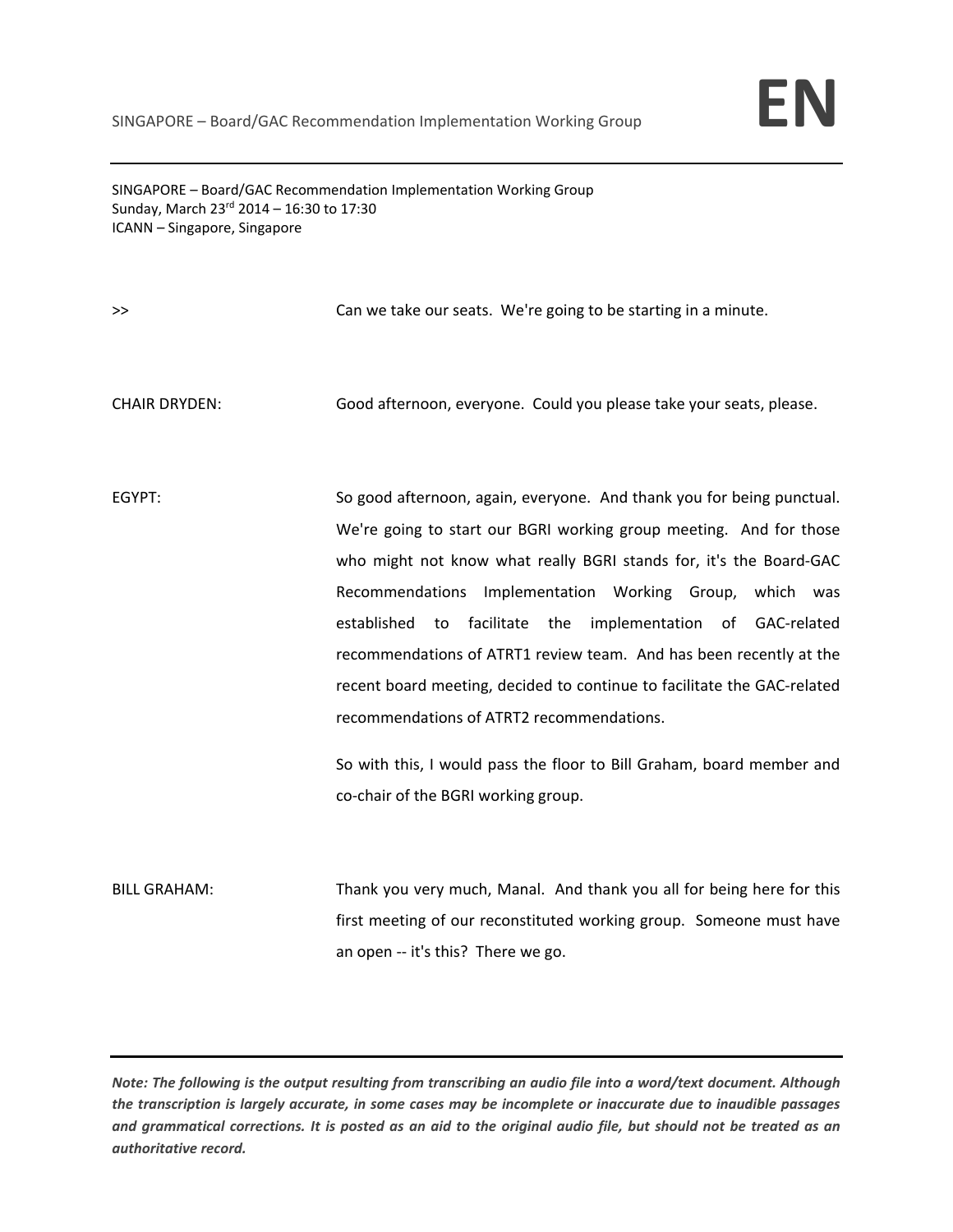

SINGAPORE – Board/GAC Recommendation Implementation Working Group Sunday, March  $23^{rd}$  2014 – 16:30 to 17:30 ICANN – Singapore, Singapore

>> Separate our seats. We're going to be starting in a minute.

CHAIR DRYDEN: Good afternoon, everyone. Could you please take your seats, please.

EGYPT: So good afternoon, again, everyone. And thank you for being punctual. We're going to start our BGRI working group meeting. And for those who might not know what really BGRI stands for, it's the Board‐GAC Recommendations Implementation Working Group, which was established to facilitate the implementation of GAC‐related recommendations of ATRT1 review team. And has been recently at the recent board meeting, decided to continue to facilitate the GAC‐related recommendations of ATRT2 recommendations.

> So with this, I would pass the floor to Bill Graham, board member and co‐chair of the BGRI working group.

BILL GRAHAM: Thank you very much, Manal. And thank you all for being here for this first meeting of our reconstituted working group. Someone must have an open ‐‐ it's this? There we go.

Note: The following is the output resulting from transcribing an audio file into a word/text document. Although the transcription is largely accurate, in some cases may be incomplete or inaccurate due to inaudible passages and grammatical corrections. It is posted as an aid to the original audio file, but should not be treated as an *authoritative record.*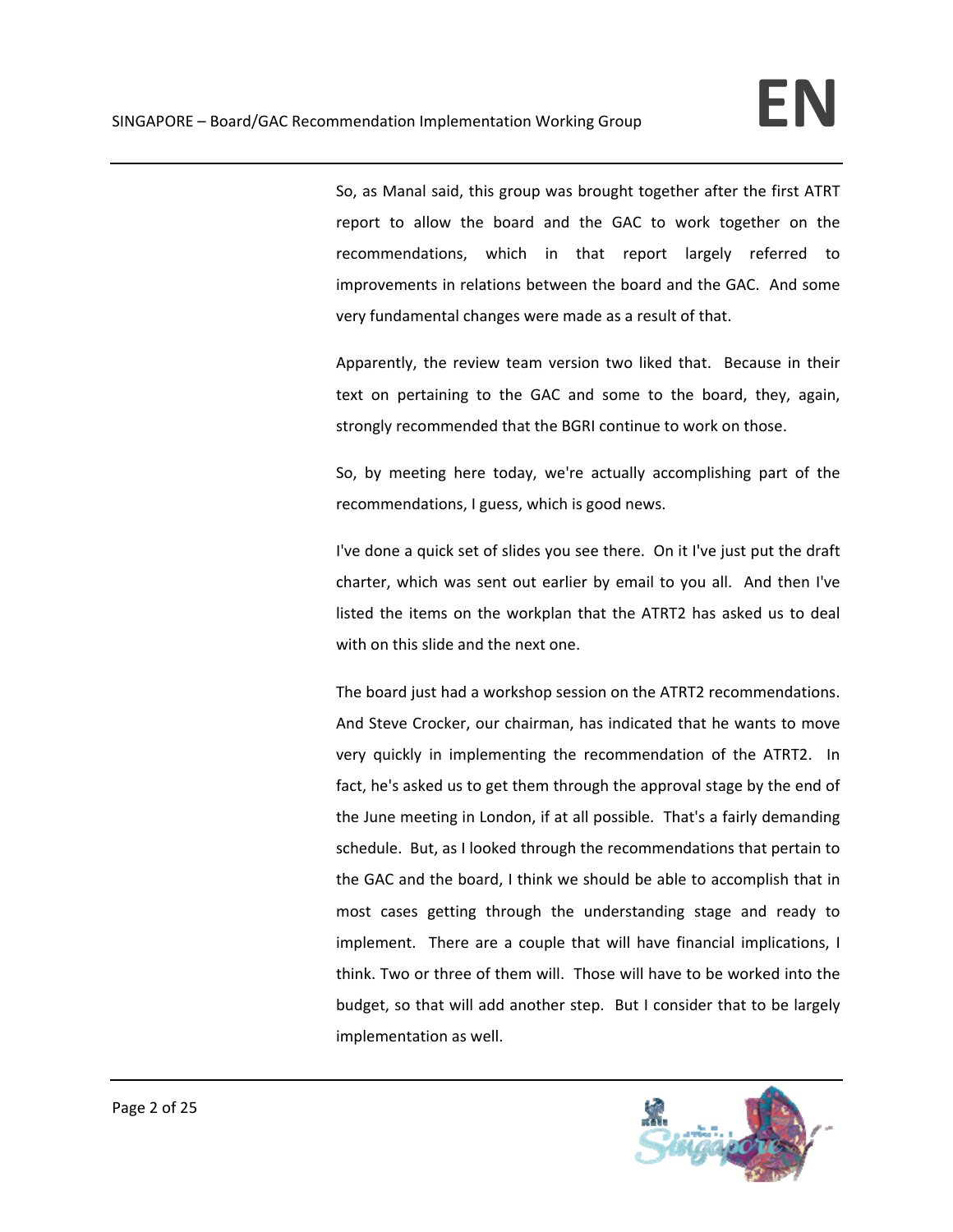So, as Manal said, this group was brought together after the first ATRT report to allow the board and the GAC to work together on the recommendations, which in that report largely referred to improvements in relations between the board and the GAC. And some very fundamental changes were made as a result of that.

Apparently, the review team version two liked that. Because in their text on pertaining to the GAC and some to the board, they, again, strongly recommended that the BGRI continue to work on those.

So, by meeting here today, we're actually accomplishing part of the recommendations, I guess, which is good news.

I've done a quick set of slides you see there. On it I've just put the draft charter, which was sent out earlier by email to you all. And then I've listed the items on the workplan that the ATRT2 has asked us to deal with on this slide and the next one.

The board just had a workshop session on the ATRT2 recommendations. And Steve Crocker, our chairman, has indicated that he wants to move very quickly in implementing the recommendation of the ATRT2. In fact, he's asked us to get them through the approval stage by the end of the June meeting in London, if at all possible. That's a fairly demanding schedule. But, as I looked through the recommendations that pertain to the GAC and the board, I think we should be able to accomplish that in most cases getting through the understanding stage and ready to implement. There are a couple that will have financial implications, I think. Two or three of them will. Those will have to be worked into the budget, so that will add another step. But I consider that to be largely implementation as well.

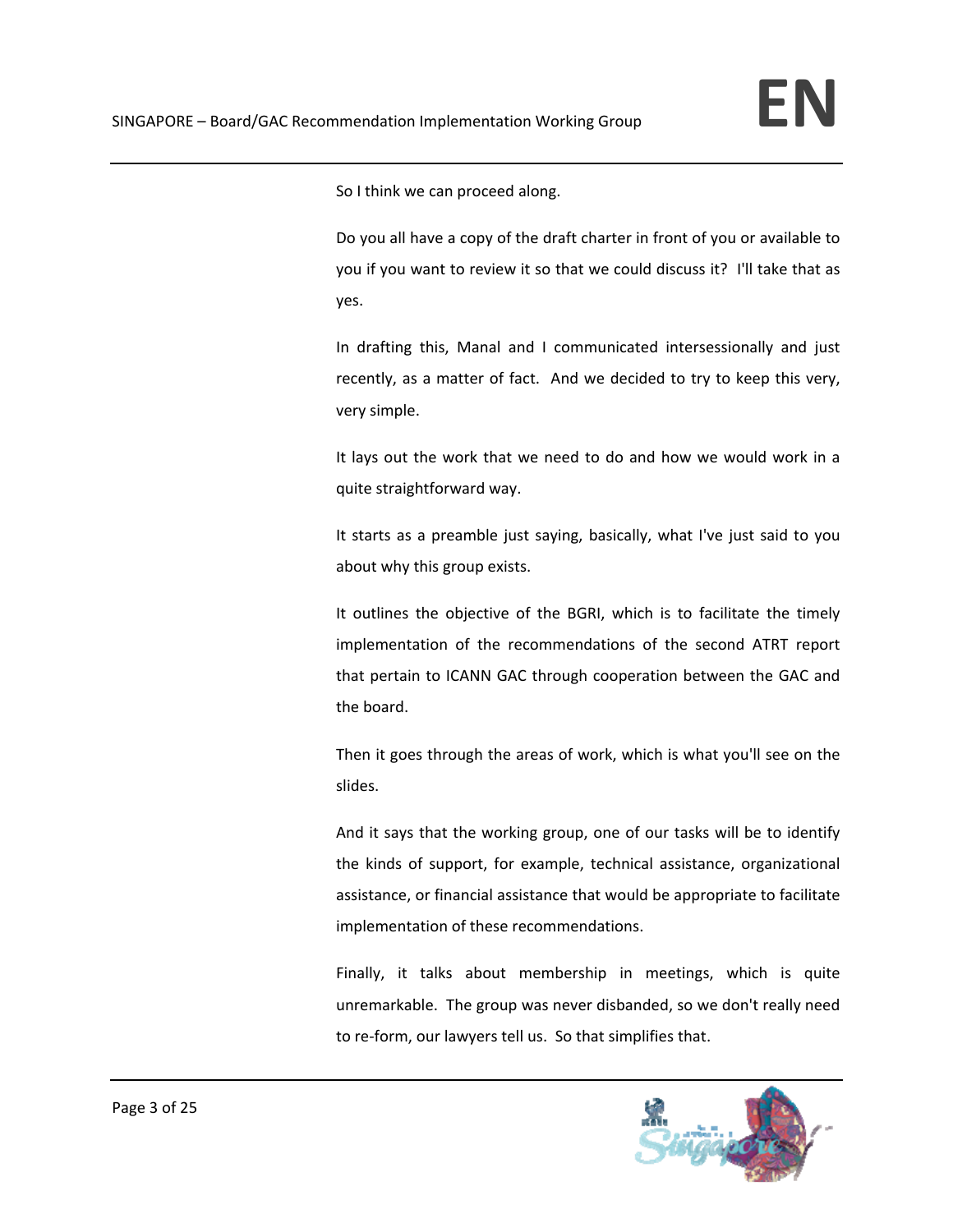So I think we can proceed along.

Do you all have a copy of the draft charter in front of you or available to you if you want to review it so that we could discuss it? I'll take that as yes.

In drafting this, Manal and I communicated intersessionally and just recently, as a matter of fact. And we decided to try to keep this very, very simple.

It lays out the work that we need to do and how we would work in a quite straightforward way.

It starts as a preamble just saying, basically, what I've just said to you about why this group exists.

It outlines the objective of the BGRI, which is to facilitate the timely implementation of the recommendations of the second ATRT report that pertain to ICANN GAC through cooperation between the GAC and the board.

Then it goes through the areas of work, which is what you'll see on the slides.

And it says that the working group, one of our tasks will be to identify the kinds of support, for example, technical assistance, organizational assistance, or financial assistance that would be appropriate to facilitate implementation of these recommendations.

Finally, it talks about membership in meetings, which is quite unremarkable. The group was never disbanded, so we don't really need to re‐form, our lawyers tell us. So that simplifies that.

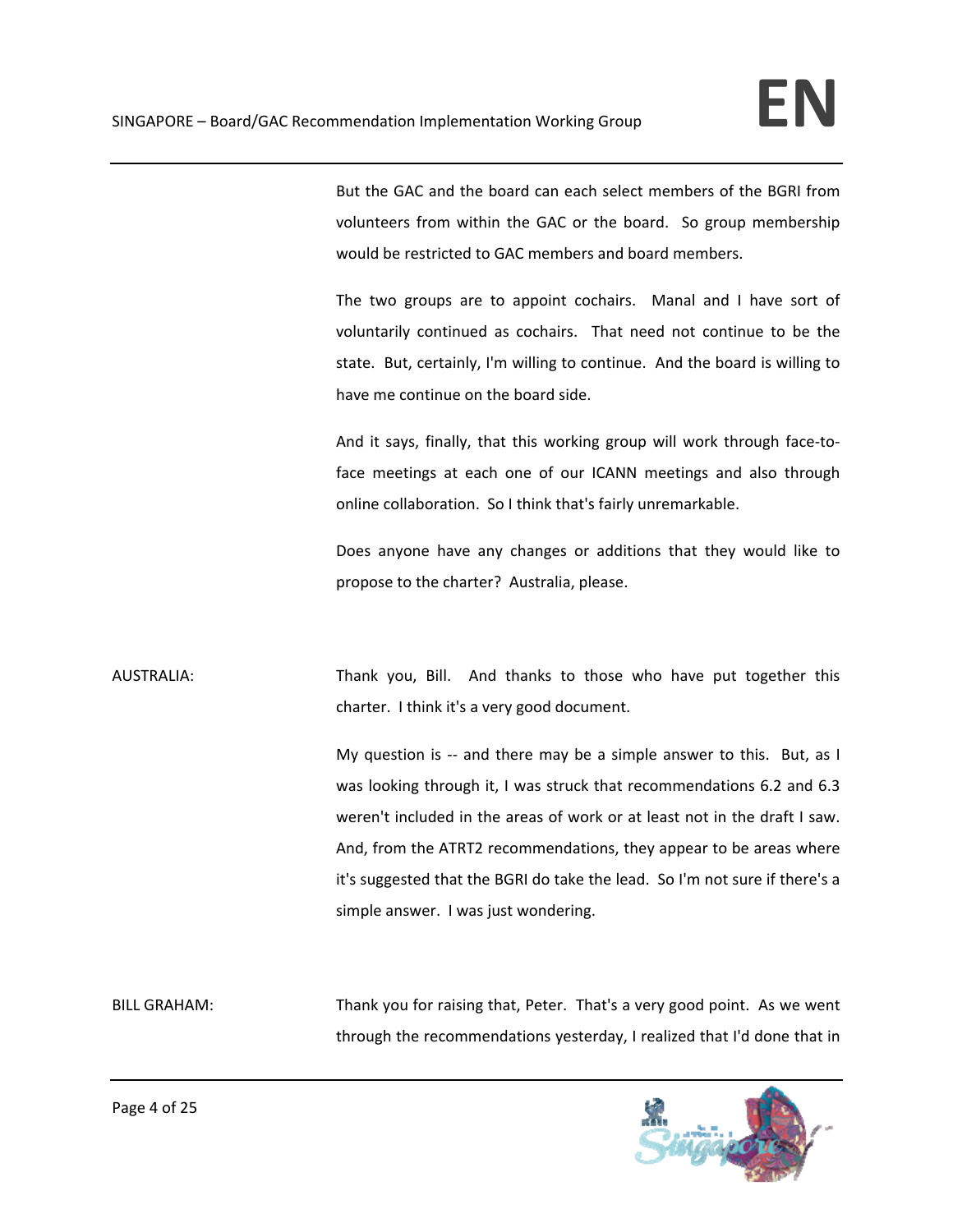But the GAC and the board can each select members of the BGRI from volunteers from within the GAC or the board. So group membership would be restricted to GAC members and board members.

The two groups are to appoint cochairs. Manal and I have sort of voluntarily continued as cochairs. That need not continue to be the state. But, certainly, I'm willing to continue. And the board is willing to have me continue on the board side.

And it says, finally, that this working group will work through face-toface meetings at each one of our ICANN meetings and also through online collaboration. So I think that's fairly unremarkable.

Does anyone have any changes or additions that they would like to propose to the charter? Australia, please.

AUSTRALIA: Thank you, Bill. And thanks to those who have put together this charter. I think it's a very good document.

> My question is -- and there may be a simple answer to this. But, as I was looking through it, I was struck that recommendations 6.2 and 6.3 weren't included in the areas of work or at least not in the draft I saw. And, from the ATRT2 recommendations, they appear to be areas where it's suggested that the BGRI do take the lead. So I'm not sure if there's a simple answer. I was just wondering.

BILL GRAHAM: Thank you for raising that, Peter. That's a very good point. As we went through the recommendations yesterday, I realized that I'd done that in

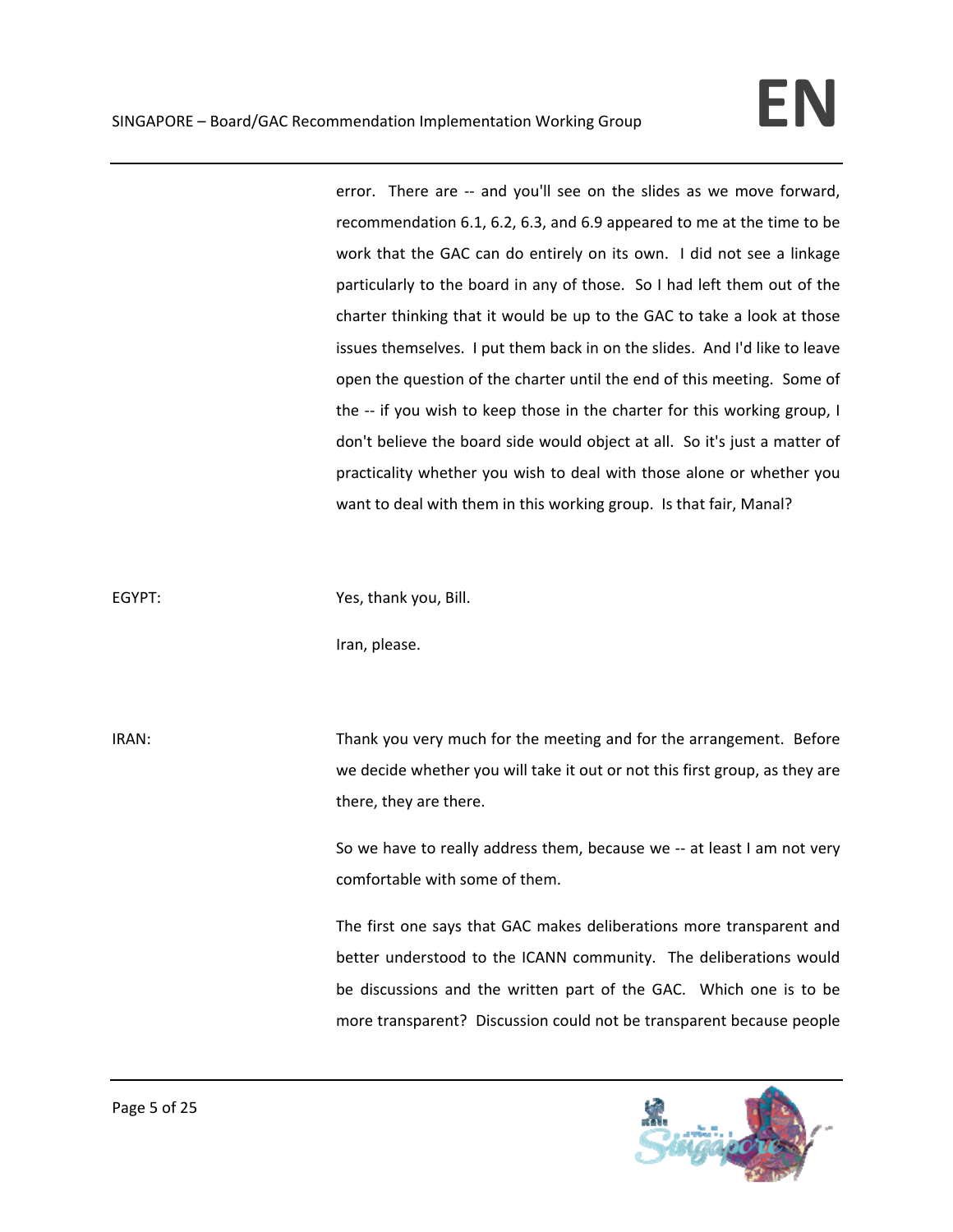error. There are -- and you'll see on the slides as we move forward, recommendation 6.1, 6.2, 6.3, and 6.9 appeared to me at the time to be work that the GAC can do entirely on its own. I did not see a linkage particularly to the board in any of those. So I had left them out of the charter thinking that it would be up to the GAC to take a look at those issues themselves. I put them back in on the slides. And I'd like to leave open the question of the charter until the end of this meeting. Some of the -- if you wish to keep those in the charter for this working group, I don't believe the board side would object at all. So it's just a matter of practicality whether you wish to deal with those alone or whether you want to deal with them in this working group. Is that fair, Manal?

EGYPT: Same Yes, thank you, Bill.

Iran, please.

IRAN: Thank you very much for the meeting and for the arrangement. Before we decide whether you will take it out or not this first group, as they are there, they are there.

> So we have to really address them, because we ‐‐ at least I am not very comfortable with some of them.

> The first one says that GAC makes deliberations more transparent and better understood to the ICANN community. The deliberations would be discussions and the written part of the GAC. Which one is to be more transparent? Discussion could not be transparent because people

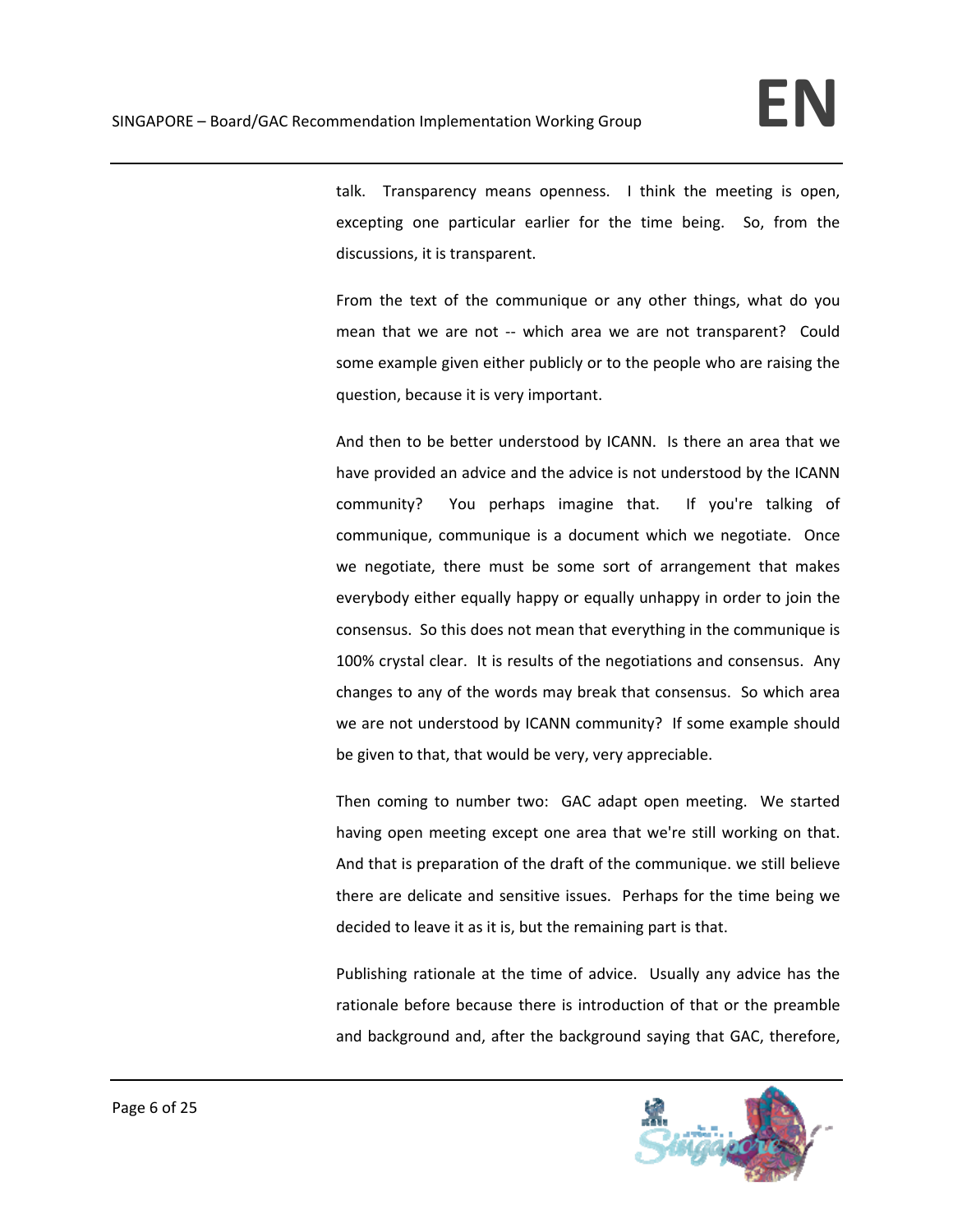talk. Transparency means openness. I think the meeting is open, excepting one particular earlier for the time being. So, from the discussions, it is transparent.

From the text of the communique or any other things, what do you mean that we are not -- which area we are not transparent? Could some example given either publicly or to the people who are raising the question, because it is very important.

And then to be better understood by ICANN. Is there an area that we have provided an advice and the advice is not understood by the ICANN community? You perhaps imagine that. If you're talking of communique, communique is a document which we negotiate. Once we negotiate, there must be some sort of arrangement that makes everybody either equally happy or equally unhappy in order to join the consensus. So this does not mean that everything in the communique is 100% crystal clear. It is results of the negotiations and consensus. Any changes to any of the words may break that consensus. So which area we are not understood by ICANN community? If some example should be given to that, that would be very, very appreciable.

Then coming to number two: GAC adapt open meeting. We started having open meeting except one area that we're still working on that. And that is preparation of the draft of the communique. we still believe there are delicate and sensitive issues. Perhaps for the time being we decided to leave it as it is, but the remaining part is that.

Publishing rationale at the time of advice. Usually any advice has the rationale before because there is introduction of that or the preamble and background and, after the background saying that GAC, therefore,

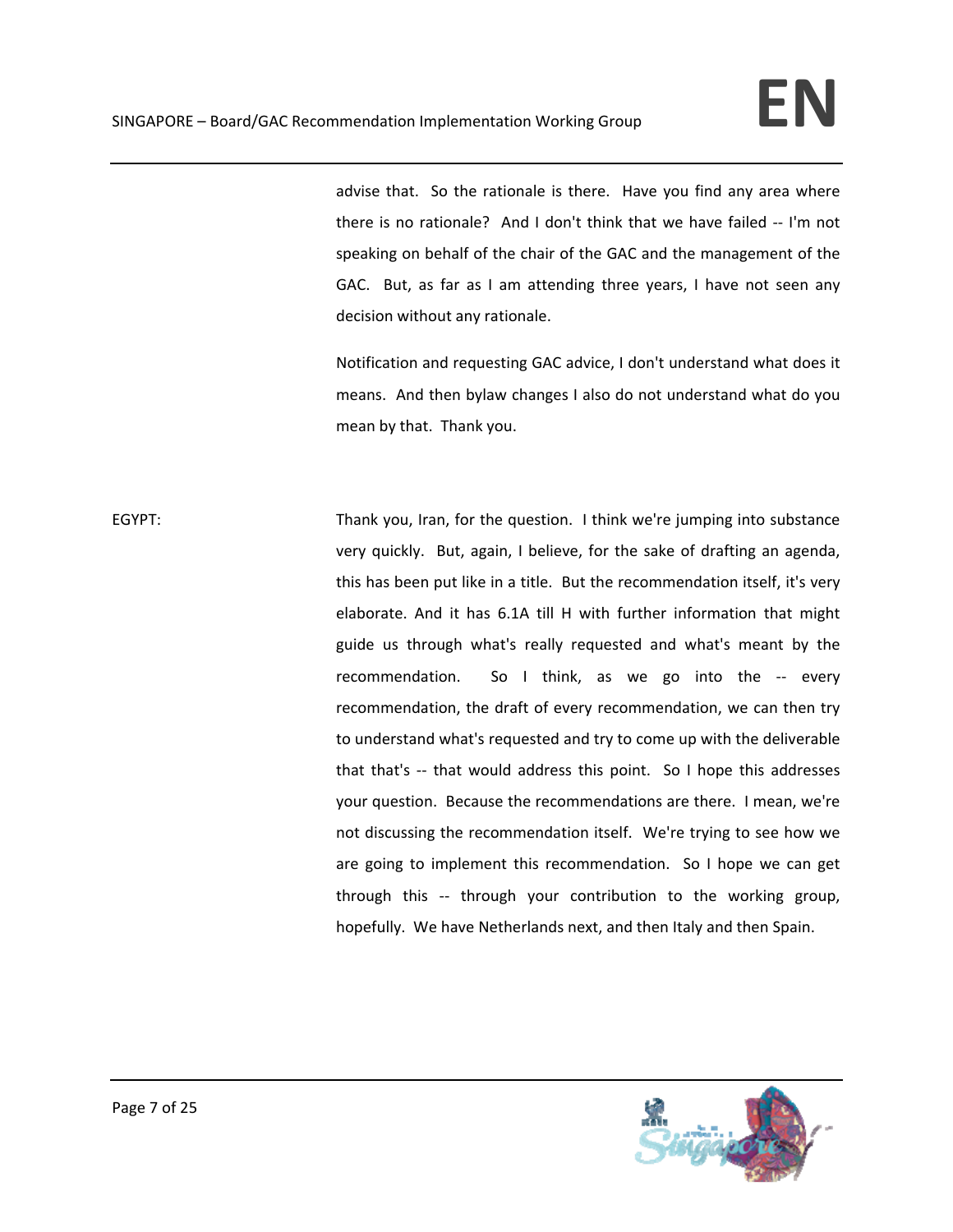advise that. So the rationale is there. Have you find any area where there is no rationale? And I don't think that we have failed ‐‐ I'm not speaking on behalf of the chair of the GAC and the management of the GAC. But, as far as I am attending three years, I have not seen any decision without any rationale.

Notification and requesting GAC advice, I don't understand what does it means. And then bylaw changes I also do not understand what do you mean by that. Thank you.

EGYPT: Thank you, Iran, for the question. I think we're jumping into substance very quickly. But, again, I believe, for the sake of drafting an agenda, this has been put like in a title. But the recommendation itself, it's very elaborate. And it has 6.1A till H with further information that might guide us through what's really requested and what's meant by the recommendation. So I think, as we go into the -- every recommendation, the draft of every recommendation, we can then try to understand what's requested and try to come up with the deliverable that that's -- that would address this point. So I hope this addresses your question. Because the recommendations are there. I mean, we're not discussing the recommendation itself. We're trying to see how we are going to implement this recommendation. So I hope we can get through this -- through your contribution to the working group, hopefully. We have Netherlands next, and then Italy and then Spain.

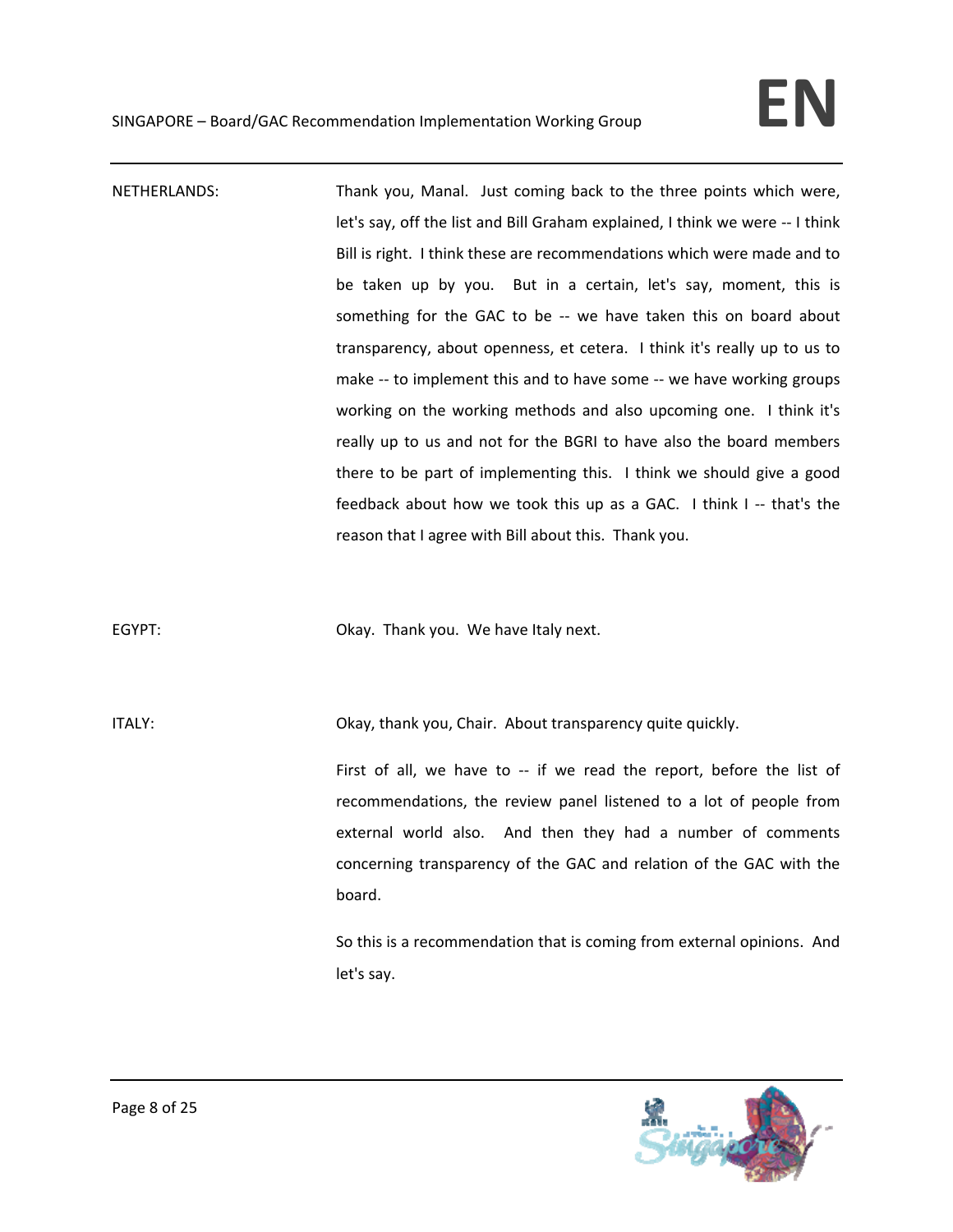NETHERLANDS: Thank you, Manal. Just coming back to the three points which were, let's say, off the list and Bill Graham explained, I think we were -- I think Bill is right. I think these are recommendations which were made and to be taken up by you. But in a certain, let's say, moment, this is something for the GAC to be -- we have taken this on board about transparency, about openness, et cetera. I think it's really up to us to make -- to implement this and to have some -- we have working groups working on the working methods and also upcoming one. I think it's really up to us and not for the BGRI to have also the board members there to be part of implementing this. I think we should give a good feedback about how we took this up as a GAC. I think I -- that's the reason that I agree with Bill about this. Thank you.

EGYPT: **EGYPT: CKAY. Thank you.** We have Italy next.

ITALY: Okay, thank you, Chair. About transparency quite quickly.

First of all, we have to -- if we read the report, before the list of recommendations, the review panel listened to a lot of people from external world also. And then they had a number of comments concerning transparency of the GAC and relation of the GAC with the board.

So this is a recommendation that is coming from external opinions. And let's say.

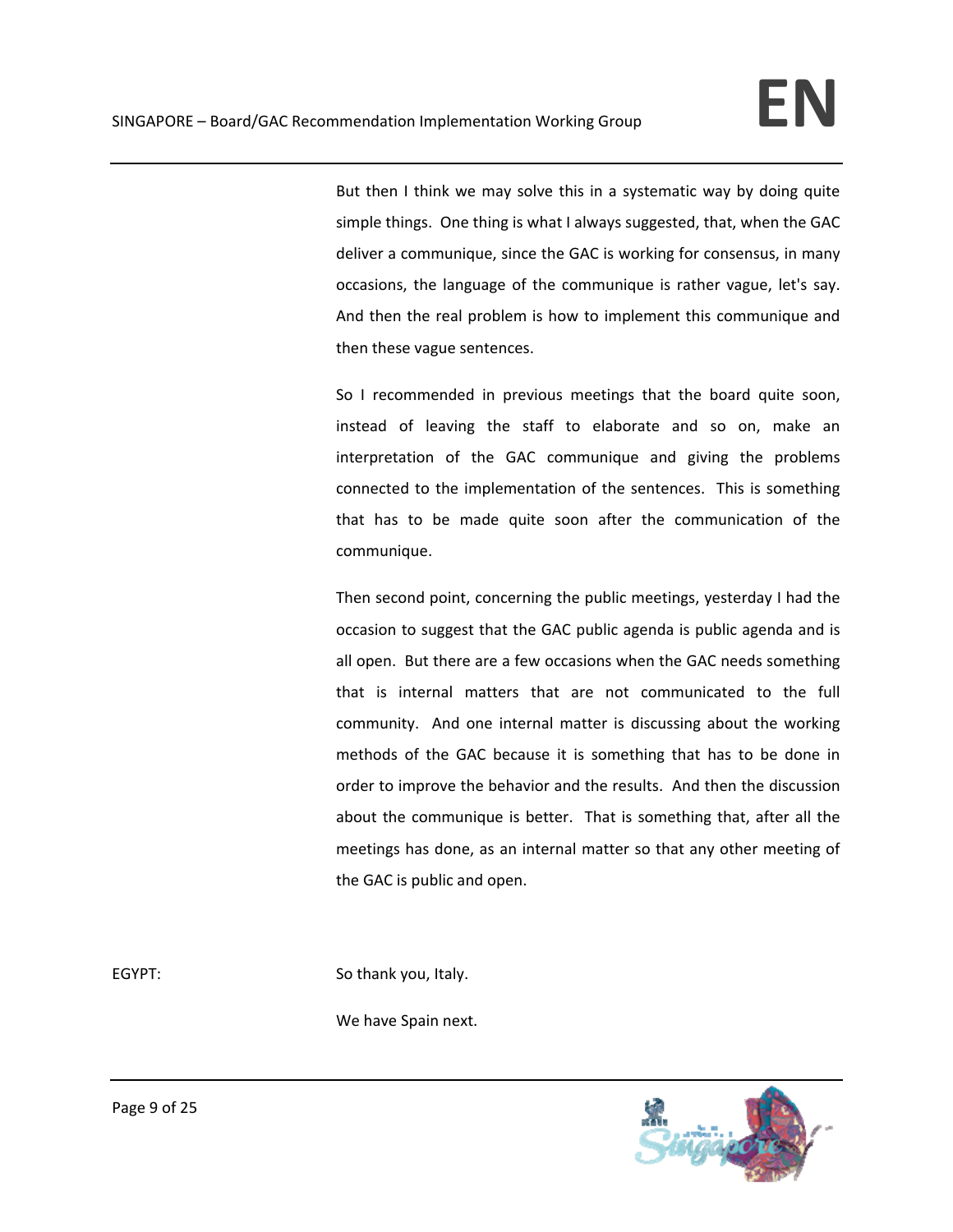But then I think we may solve this in a systematic way by doing quite simple things. One thing is what I always suggested, that, when the GAC deliver a communique, since the GAC is working for consensus, in many occasions, the language of the communique is rather vague, let's say. And then the real problem is how to implement this communique and then these vague sentences.

So I recommended in previous meetings that the board quite soon, instead of leaving the staff to elaborate and so on, make an interpretation of the GAC communique and giving the problems connected to the implementation of the sentences. This is something that has to be made quite soon after the communication of the communique.

Then second point, concerning the public meetings, yesterday I had the occasion to suggest that the GAC public agenda is public agenda and is all open. But there are a few occasions when the GAC needs something that is internal matters that are not communicated to the full community. And one internal matter is discussing about the working methods of the GAC because it is something that has to be done in order to improve the behavior and the results. And then the discussion about the communique is better. That is something that, after all the meetings has done, as an internal matter so that any other meeting of the GAC is public and open.

EGYPT: So thank you, Italy.

We have Spain next.

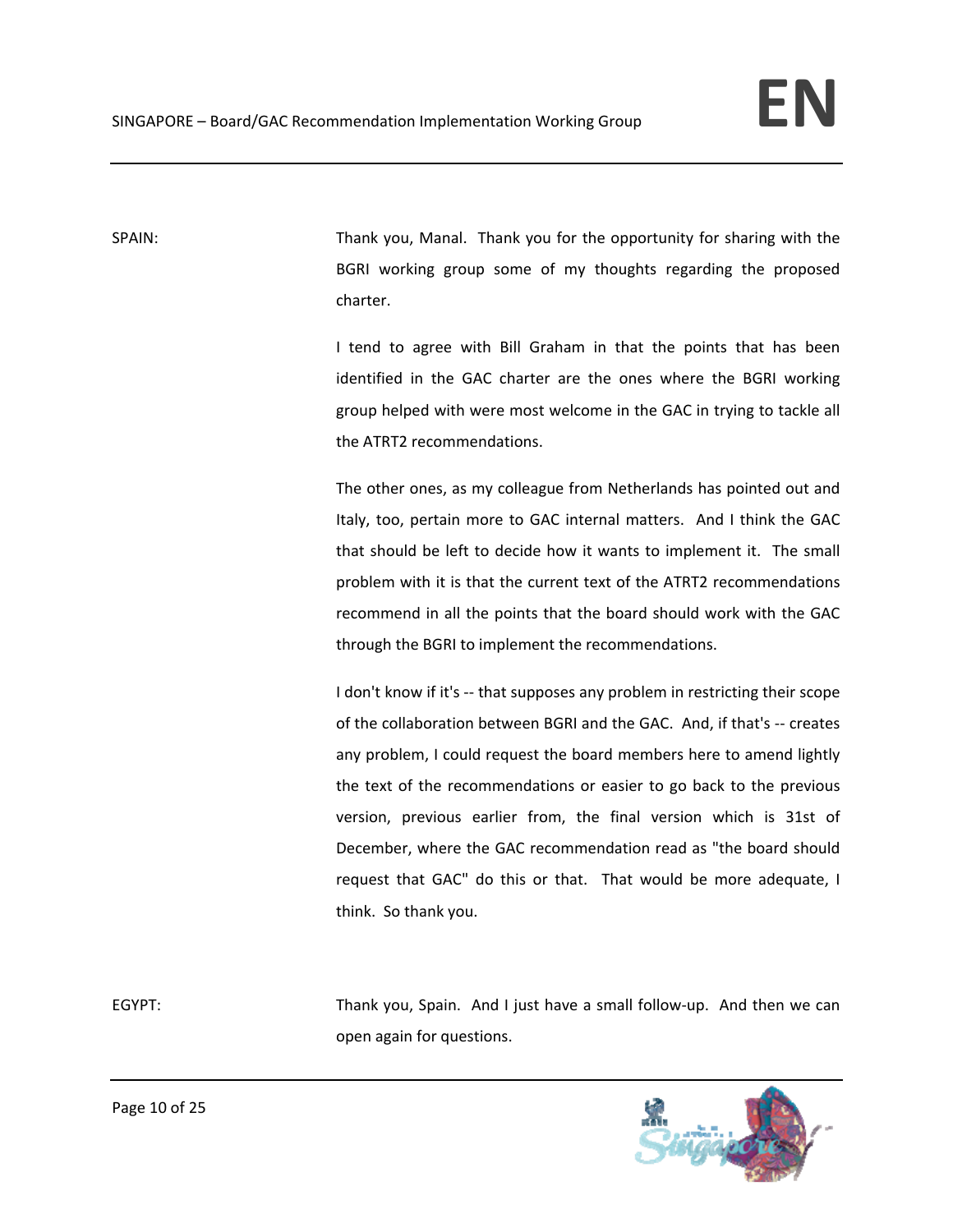SPAIN: Thank you, Manal. Thank you for the opportunity for sharing with the BGRI working group some of my thoughts regarding the proposed charter.

> I tend to agree with Bill Graham in that the points that has been identified in the GAC charter are the ones where the BGRI working group helped with were most welcome in the GAC in trying to tackle all the ATRT2 recommendations.

> The other ones, as my colleague from Netherlands has pointed out and Italy, too, pertain more to GAC internal matters. And I think the GAC that should be left to decide how it wants to implement it. The small problem with it is that the current text of the ATRT2 recommendations recommend in all the points that the board should work with the GAC through the BGRI to implement the recommendations.

> I don't know if it's -- that supposes any problem in restricting their scope of the collaboration between BGRI and the GAC. And, if that's ‐‐ creates any problem, I could request the board members here to amend lightly the text of the recommendations or easier to go back to the previous version, previous earlier from, the final version which is 31st of December, where the GAC recommendation read as "the board should request that GAC" do this or that. That would be more adequate, I think. So thank you.

EGYPT: Thank you, Spain. And I just have a small follow-up. And then we can open again for questions.

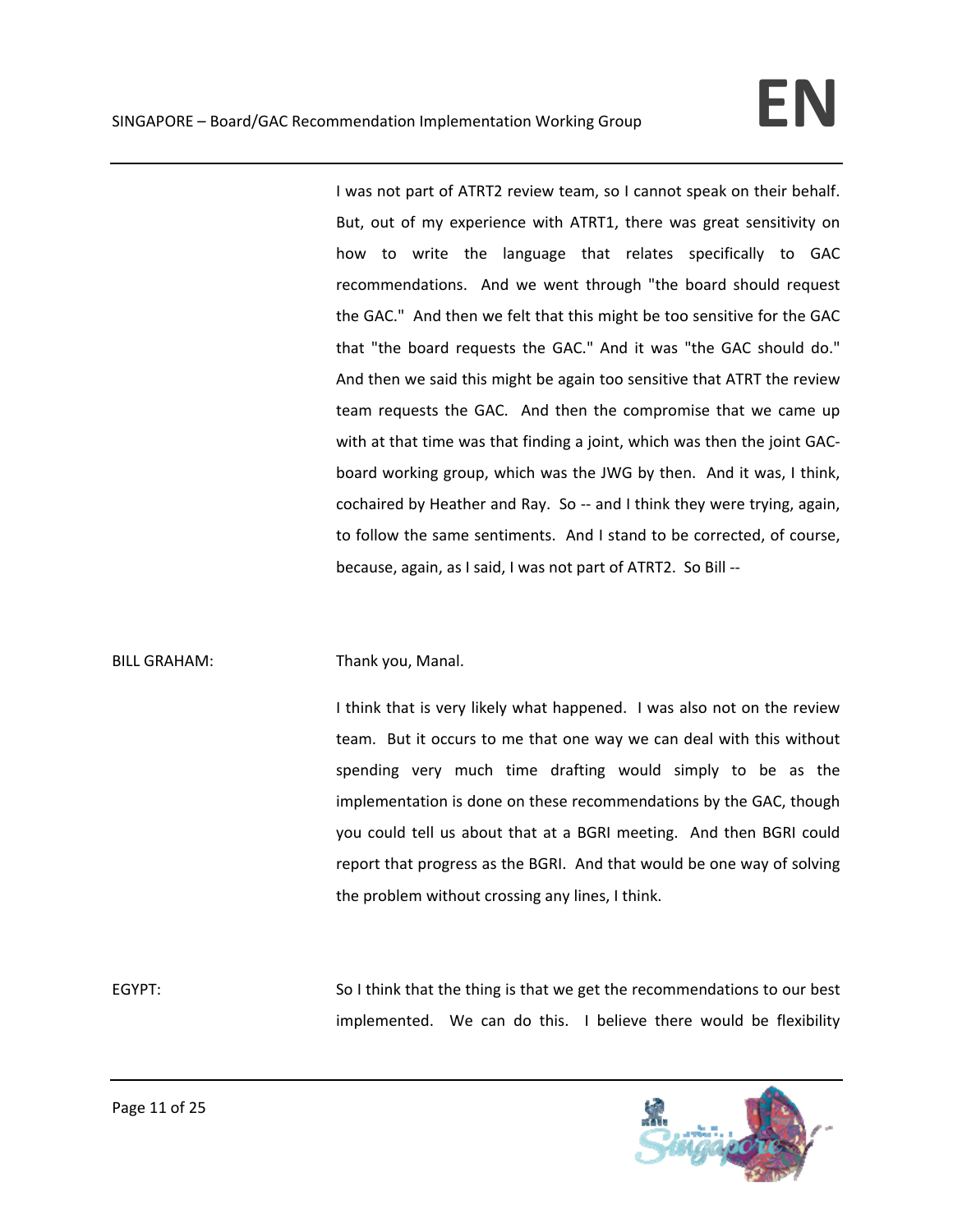I was not part of ATRT2 review team, so I cannot speak on their behalf. But, out of my experience with ATRT1, there was great sensitivity on how to write the language that relates specifically to GAC recommendations. And we went through "the board should request the GAC." And then we felt that this might be too sensitive for the GAC that "the board requests the GAC." And it was "the GAC should do." And then we said this might be again too sensitive that ATRT the review team requests the GAC. And then the compromise that we came up with at that time was that finding a joint, which was then the joint GAC‐ board working group, which was the JWG by then. And it was, I think, cochaired by Heather and Ray. So ‐‐ and I think they were trying, again, to follow the same sentiments. And I stand to be corrected, of course, because, again, as I said, I was not part of ATRT2. So Bill ‐‐

### BILL GRAHAM: Thank you, Manal.

I think that is very likely what happened. I was also not on the review team. But it occurs to me that one way we can deal with this without spending very much time drafting would simply to be as the implementation is done on these recommendations by the GAC, though you could tell us about that at a BGRI meeting. And then BGRI could report that progress as the BGRI. And that would be one way of solving the problem without crossing any lines, I think.

EGYPT: So I think that the thing is that we get the recommendations to our best implemented. We can do this. I believe there would be flexibility

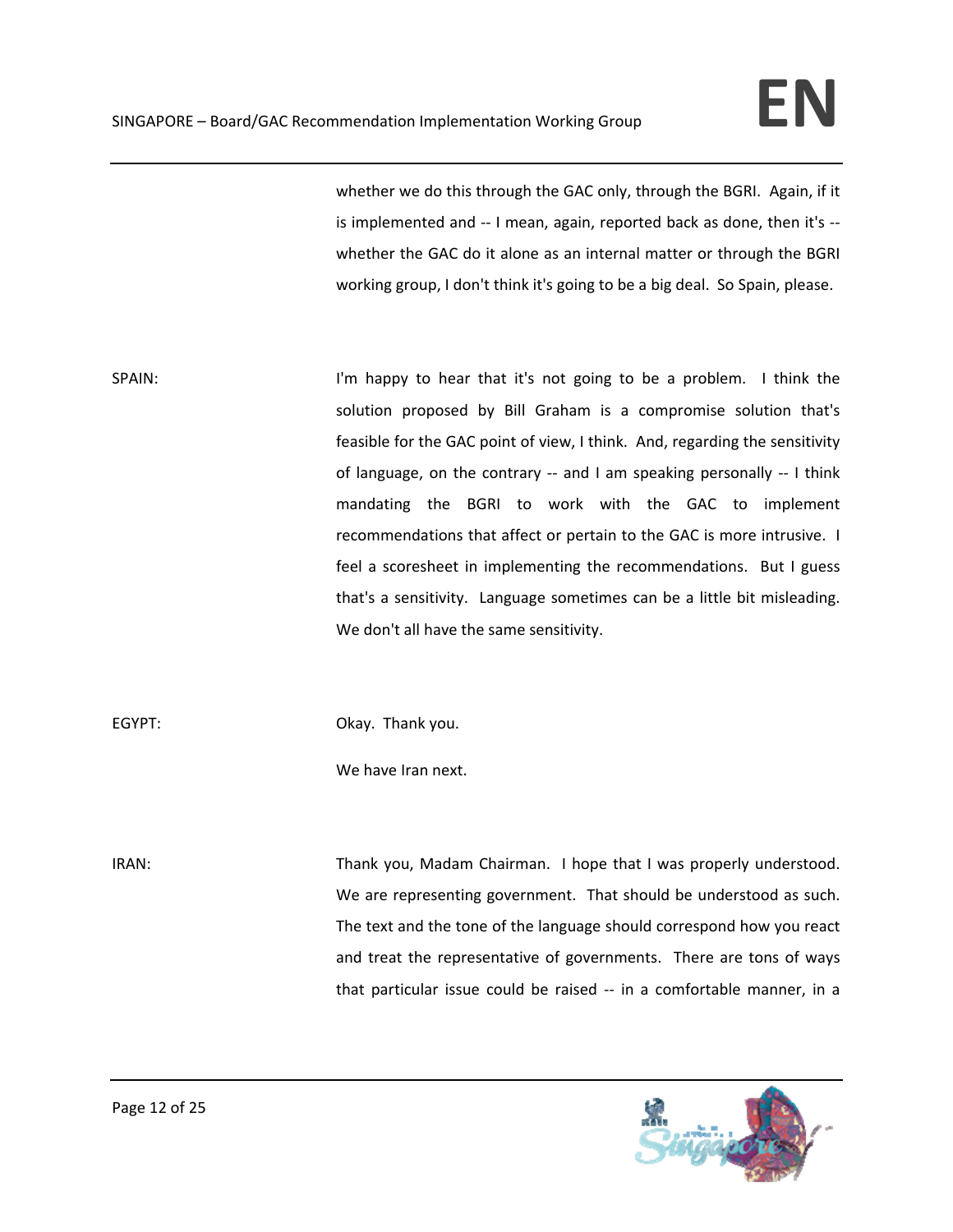whether we do this through the GAC only, through the BGRI. Again, if it is implemented and -- I mean, again, reported back as done, then it's -whether the GAC do it alone as an internal matter or through the BGRI working group, I don't think it's going to be a big deal. So Spain, please.

SPAIN: SPAIN: I'm happy to hear that it's not going to be a problem. I think the solution proposed by Bill Graham is a compromise solution that's feasible for the GAC point of view, I think. And, regarding the sensitivity of language, on the contrary -- and I am speaking personally -- I think mandating the BGRI to work with the GAC to implement recommendations that affect or pertain to the GAC is more intrusive. I feel a scoresheet in implementing the recommendations. But I guess that's a sensitivity. Language sometimes can be a little bit misleading. We don't all have the same sensitivity.

EGYPT: CONDITED DRAY. Thank you.

We have Iran next.

IRAN: Thank you, Madam Chairman. I hope that I was properly understood. We are representing government. That should be understood as such. The text and the tone of the language should correspond how you react and treat the representative of governments. There are tons of ways that particular issue could be raised ‐‐ in a comfortable manner, in a

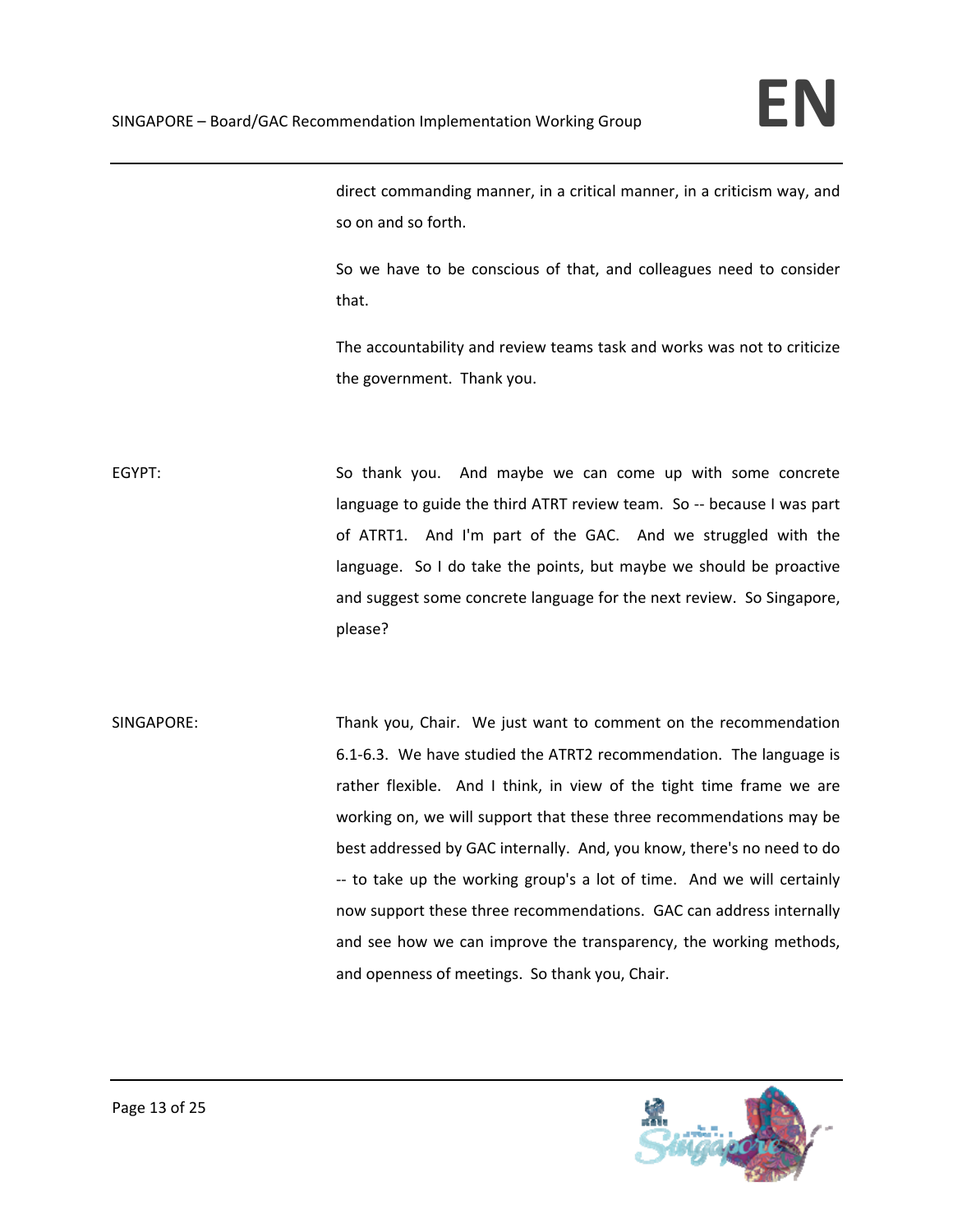direct commanding manner, in a critical manner, in a criticism way, and so on and so forth.

So we have to be conscious of that, and colleagues need to consider that.

The accountability and review teams task and works was not to criticize the government. Thank you.

EGYPT: So thank you. And maybe we can come up with some concrete language to guide the third ATRT review team. So ‐‐ because I was part of ATRT1. And I'm part of the GAC. And we struggled with the language. So I do take the points, but maybe we should be proactive and suggest some concrete language for the next review. So Singapore, please?

SINGAPORE: Thank you, Chair. We just want to comment on the recommendation 6.1‐6.3. We have studied the ATRT2 recommendation. The language is rather flexible. And I think, in view of the tight time frame we are working on, we will support that these three recommendations may be best addressed by GAC internally. And, you know, there's no need to do ‐‐ to take up the working group's a lot of time. And we will certainly now support these three recommendations. GAC can address internally and see how we can improve the transparency, the working methods, and openness of meetings. So thank you, Chair.

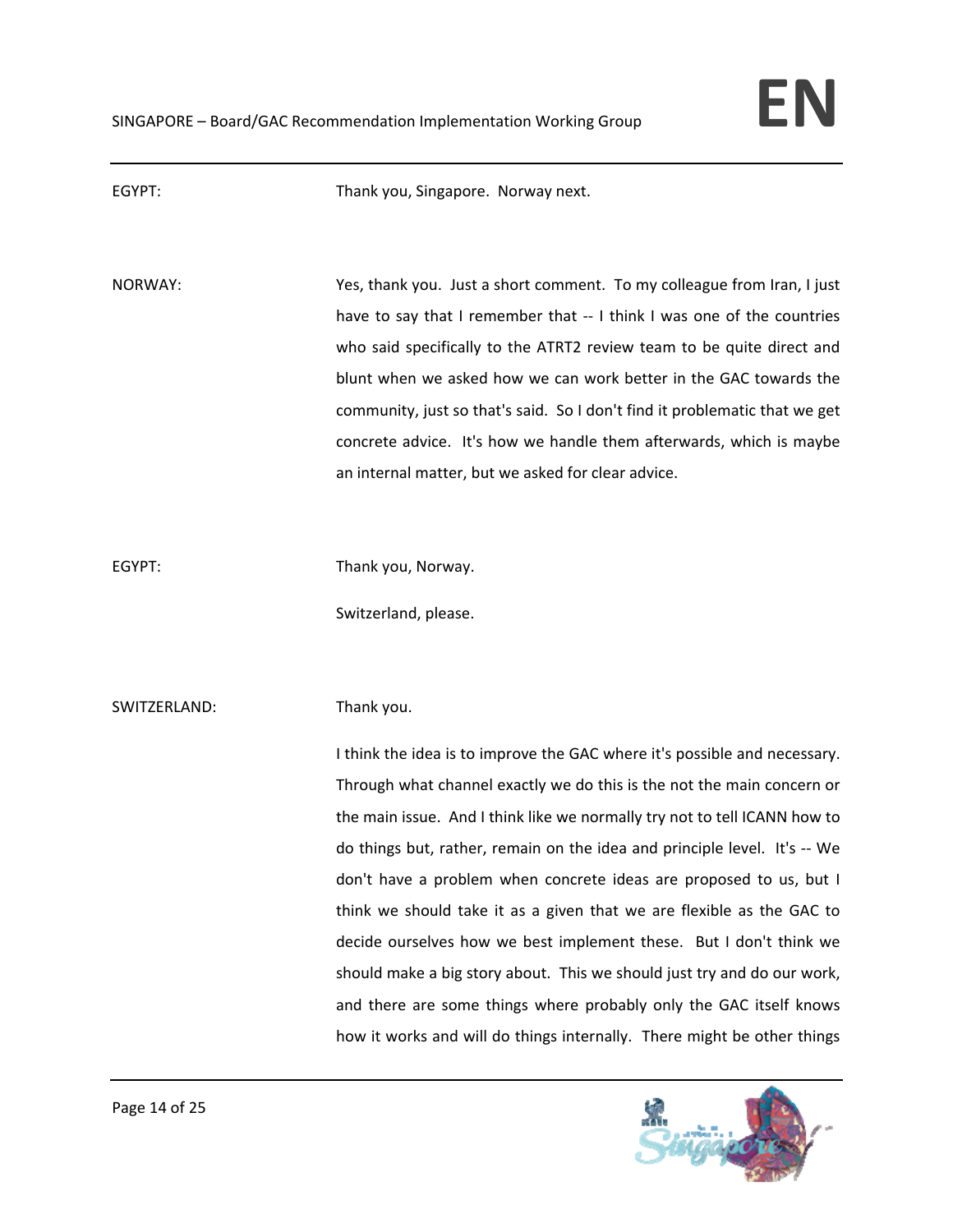

| EGYPT:       | Thank you, Singapore. Norway next.                                                                                                                                                                                                                                                                                                                                                                                                                                                                                                                                                                                          |
|--------------|-----------------------------------------------------------------------------------------------------------------------------------------------------------------------------------------------------------------------------------------------------------------------------------------------------------------------------------------------------------------------------------------------------------------------------------------------------------------------------------------------------------------------------------------------------------------------------------------------------------------------------|
| NORWAY:      | Yes, thank you. Just a short comment. To my colleague from Iran, I just<br>have to say that I remember that -- I think I was one of the countries<br>who said specifically to the ATRT2 review team to be quite direct and<br>blunt when we asked how we can work better in the GAC towards the<br>community, just so that's said. So I don't find it problematic that we get<br>concrete advice. It's how we handle them afterwards, which is maybe<br>an internal matter, but we asked for clear advice.                                                                                                                  |
| EGYPT:       | Thank you, Norway.<br>Switzerland, please.                                                                                                                                                                                                                                                                                                                                                                                                                                                                                                                                                                                  |
| SWITZERLAND: | Thank you.<br>I think the idea is to improve the GAC where it's possible and necessary.<br>Through what channel exactly we do this is the not the main concern or<br>the main issue. And I think like we normally try not to tell ICANN how to<br>do things but, rather, remain on the idea and principle level. It's -- We<br>don't have a problem when concrete ideas are proposed to us, but I<br>think we should take it as a given that we are flexible as the GAC to<br>decide ourselves how we best implement these. But I don't think we<br>should make a big story about. This we should just try and do our work, |
|              | and there are some things where probably only the GAC itself knows<br>how it works and will do things internally. There might be other things                                                                                                                                                                                                                                                                                                                                                                                                                                                                               |

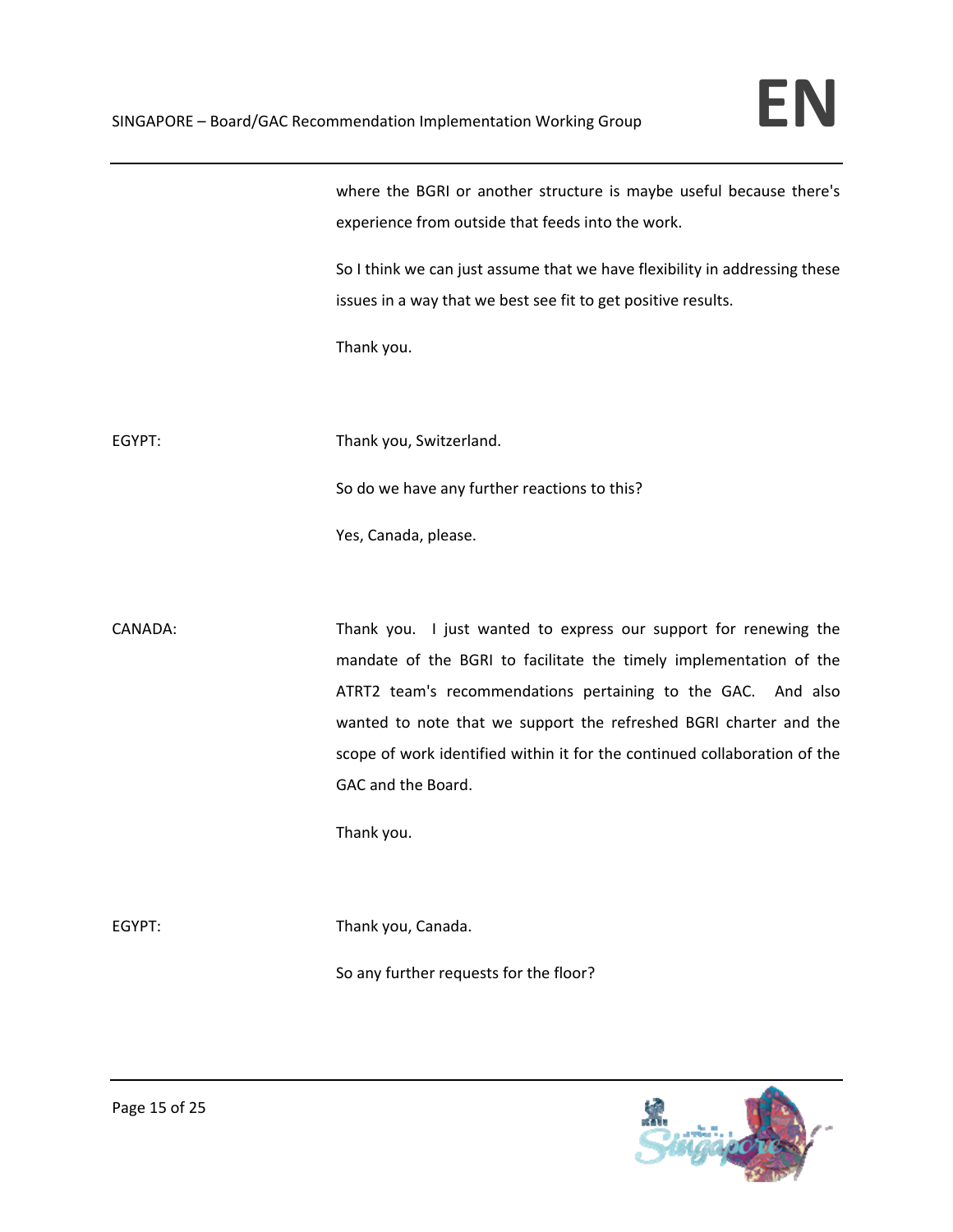where the BGRI or another structure is maybe useful because there's experience from outside that feeds into the work.

So I think we can just assume that we have flexibility in addressing these issues in a way that we best see fit to get positive results.

Thank you.

EGYPT: Thank you, Switzerland.

So do we have any further reactions to this?

Yes, Canada, please.

CANADA: Thank you. I just wanted to express our support for renewing the mandate of the BGRI to facilitate the timely implementation of the ATRT2 team's recommendations pertaining to the GAC. And also wanted to note that we support the refreshed BGRI charter and the scope of work identified within it for the continued collaboration of the GAC and the Board.

Thank you.

EGYPT: Thank you, Canada.

So any further requests for the floor?

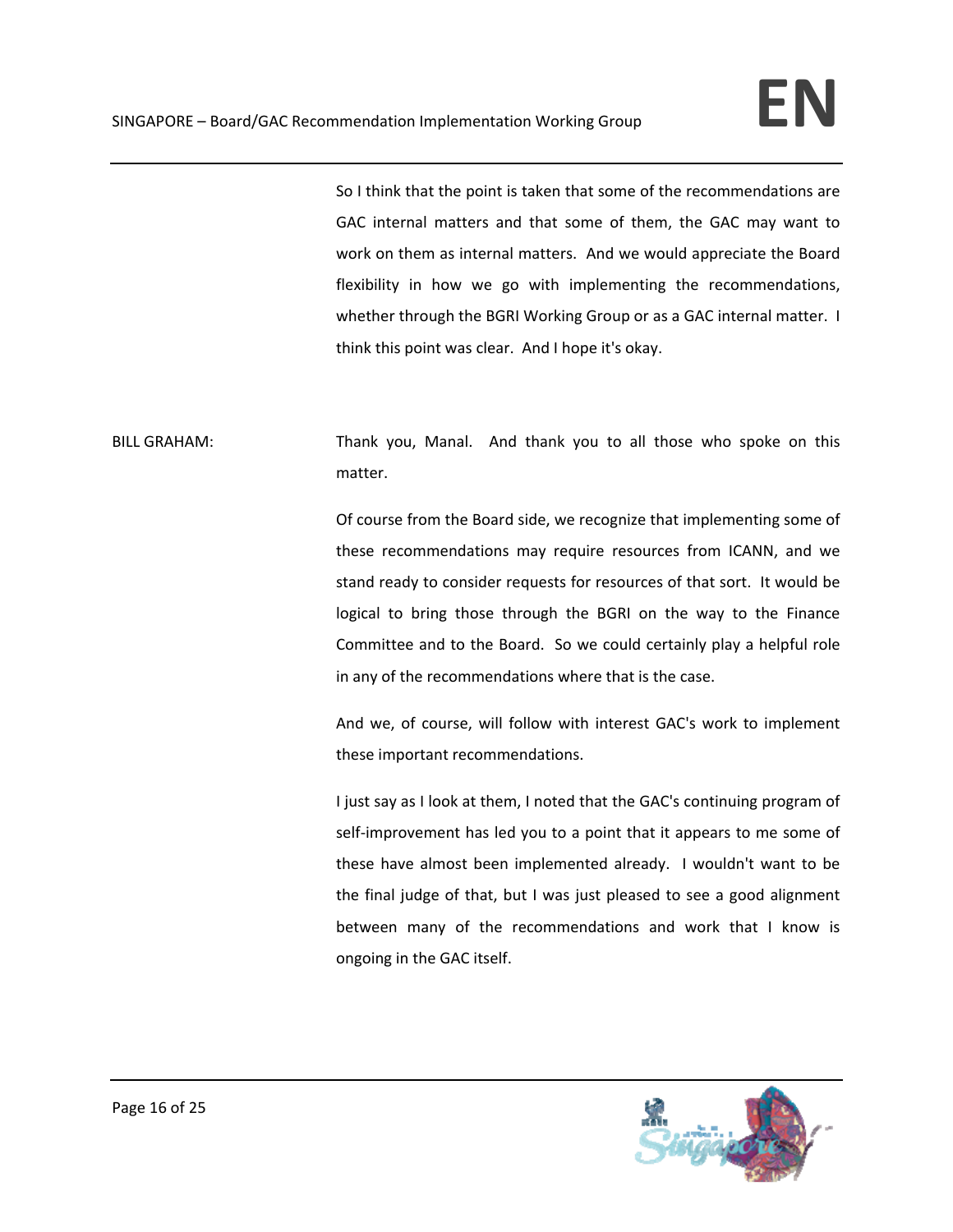So I think that the point is taken that some of the recommendations are GAC internal matters and that some of them, the GAC may want to work on them as internal matters. And we would appreciate the Board flexibility in how we go with implementing the recommendations, whether through the BGRI Working Group or as a GAC internal matter. I think this point was clear. And I hope it's okay.

BILL GRAHAM: Thank you, Manal. And thank you to all those who spoke on this matter.

> Of course from the Board side, we recognize that implementing some of these recommendations may require resources from ICANN, and we stand ready to consider requests for resources of that sort. It would be logical to bring those through the BGRI on the way to the Finance Committee and to the Board. So we could certainly play a helpful role in any of the recommendations where that is the case.

> And we, of course, will follow with interest GAC's work to implement these important recommendations.

> I just say as I look at them, I noted that the GAC's continuing program of self-improvement has led you to a point that it appears to me some of these have almost been implemented already. I wouldn't want to be the final judge of that, but I was just pleased to see a good alignment between many of the recommendations and work that I know is ongoing in the GAC itself.

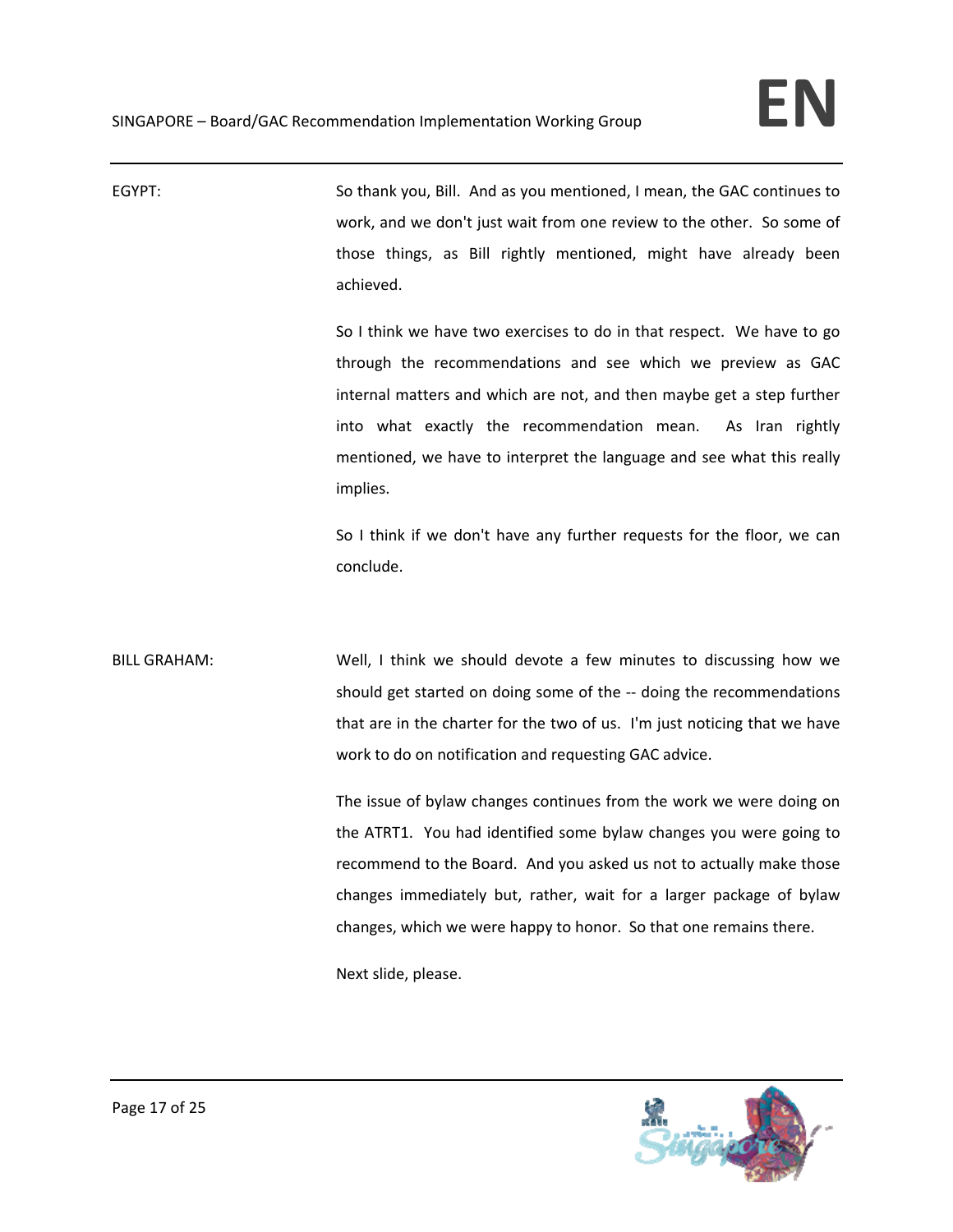EGYPT: So thank you, Bill. And as you mentioned, I mean, the GAC continues to work, and we don't just wait from one review to the other. So some of those things, as Bill rightly mentioned, might have already been achieved. So I think we have two exercises to do in that respect. We have to go through the recommendations and see which we preview as GAC internal matters and which are not, and then maybe get a step further into what exactly the recommendation mean. As Iran rightly mentioned, we have to interpret the language and see what this really implies. So I think if we don't have any further requests for the floor, we can conclude. BILL GRAHAM: Well, I think we should devote a few minutes to discussing how we should get started on doing some of the ‐‐ doing the recommendations that are in the charter for the two of us. I'm just noticing that we have work to do on notification and requesting GAC advice. The issue of bylaw changes continues from the work we were doing on the ATRT1. You had identified some bylaw changes you were going to recommend to the Board. And you asked us not to actually make those changes immediately but, rather, wait for a larger package of bylaw changes, which we were happy to honor. So that one remains there. Next slide, please.

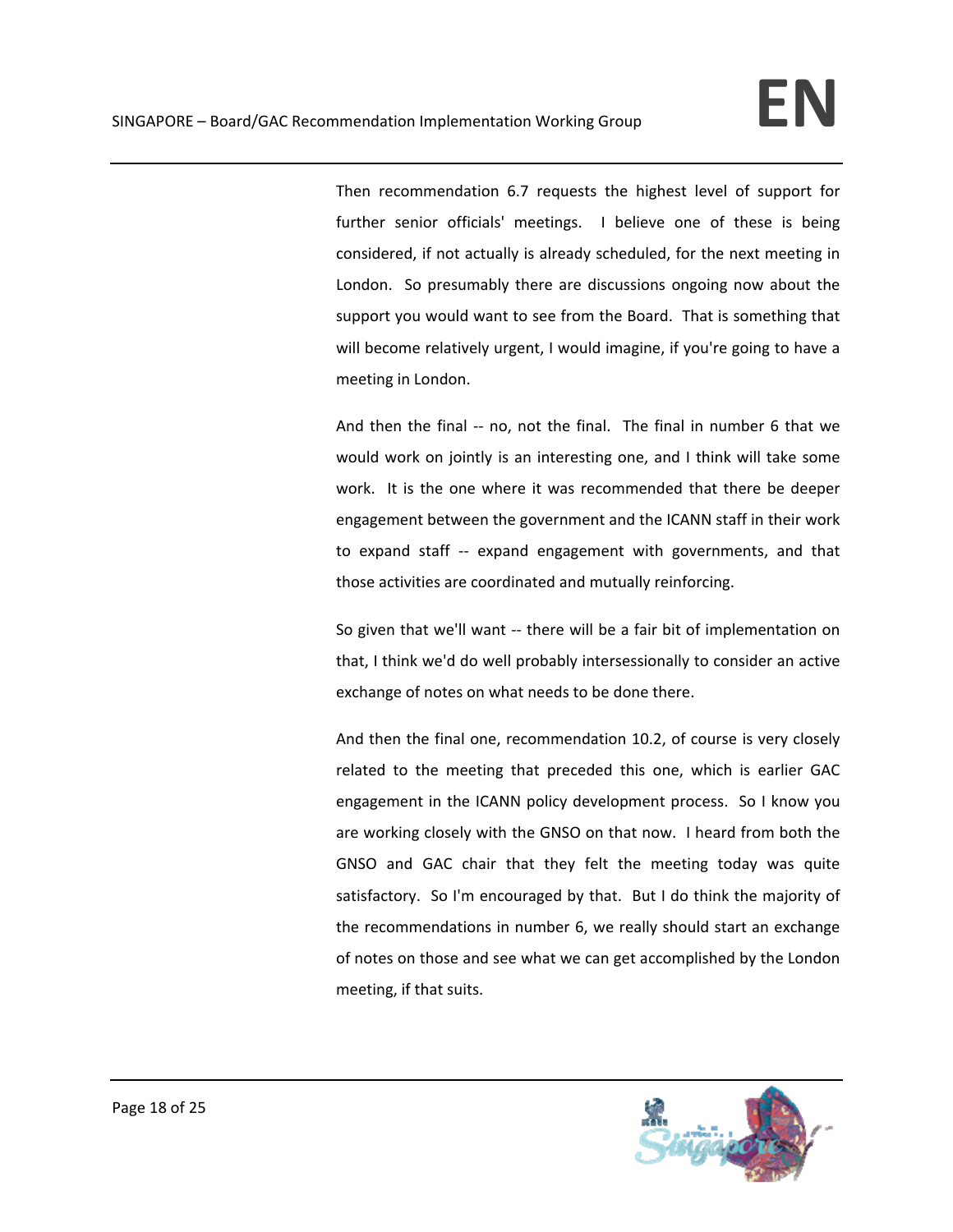Then recommendation 6.7 requests the highest level of support for further senior officials' meetings. I believe one of these is being considered, if not actually is already scheduled, for the next meeting in London. So presumably there are discussions ongoing now about the support you would want to see from the Board. That is something that will become relatively urgent, I would imagine, if you're going to have a meeting in London.

And then the final -- no, not the final. The final in number 6 that we would work on jointly is an interesting one, and I think will take some work. It is the one where it was recommended that there be deeper engagement between the government and the ICANN staff in their work to expand staff ‐‐ expand engagement with governments, and that those activities are coordinated and mutually reinforcing.

So given that we'll want ‐‐ there will be a fair bit of implementation on that, I think we'd do well probably intersessionally to consider an active exchange of notes on what needs to be done there.

And then the final one, recommendation 10.2, of course is very closely related to the meeting that preceded this one, which is earlier GAC engagement in the ICANN policy development process. So I know you are working closely with the GNSO on that now. I heard from both the GNSO and GAC chair that they felt the meeting today was quite satisfactory. So I'm encouraged by that. But I do think the majority of the recommendations in number 6, we really should start an exchange of notes on those and see what we can get accomplished by the London meeting, if that suits.

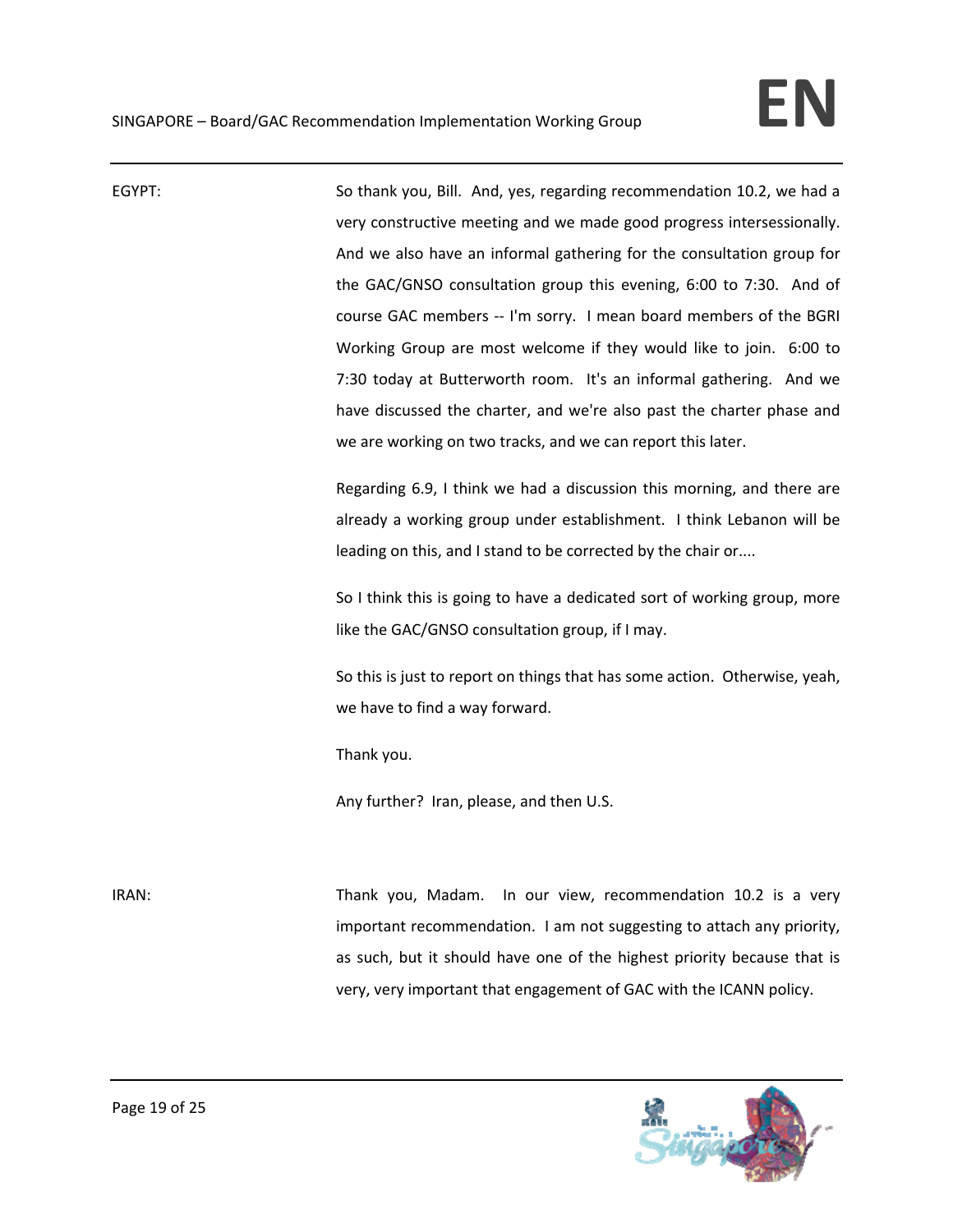| EGYPT: | So thank you, Bill. And, yes, regarding recommendation 10.2, we had a      |
|--------|----------------------------------------------------------------------------|
|        | very constructive meeting and we made good progress intersessionally.      |
|        | And we also have an informal gathering for the consultation group for      |
|        | the GAC/GNSO consultation group this evening, 6:00 to 7:30. And of         |
|        | course GAC members -- I'm sorry. I mean board members of the BGRI          |
|        | Working Group are most welcome if they would like to join. 6:00 to         |
|        | 7:30 today at Butterworth room. It's an informal gathering. And we         |
|        | have discussed the charter, and we're also past the charter phase and      |
|        | we are working on two tracks, and we can report this later.                |
|        | Regarding 6.9, I think we had a discussion this morning, and there are     |
|        | already a working group under establishment. I think Lebanon will be       |
|        | leading on this, and I stand to be corrected by the chair or               |
|        | So I think this is going to have a dedicated sort of working group, more   |
|        | like the GAC/GNSO consultation group, if I may.                            |
|        | So this is just to report on things that has some action. Otherwise, yeah, |
|        | we have to find a way forward.                                             |
|        | Thank you.                                                                 |
|        | Any further? Iran, please, and then U.S.                                   |
|        |                                                                            |
| IRAN:  | In our view, recommendation 10.2 is a very<br>Thank you, Madam.            |
|        | important recommendation. I am not suggesting to attach any priority,      |
|        | as such, but it should have one of the highest priority because that is    |
|        | very, very important that engagement of GAC with the ICANN policy.         |
|        |                                                                            |

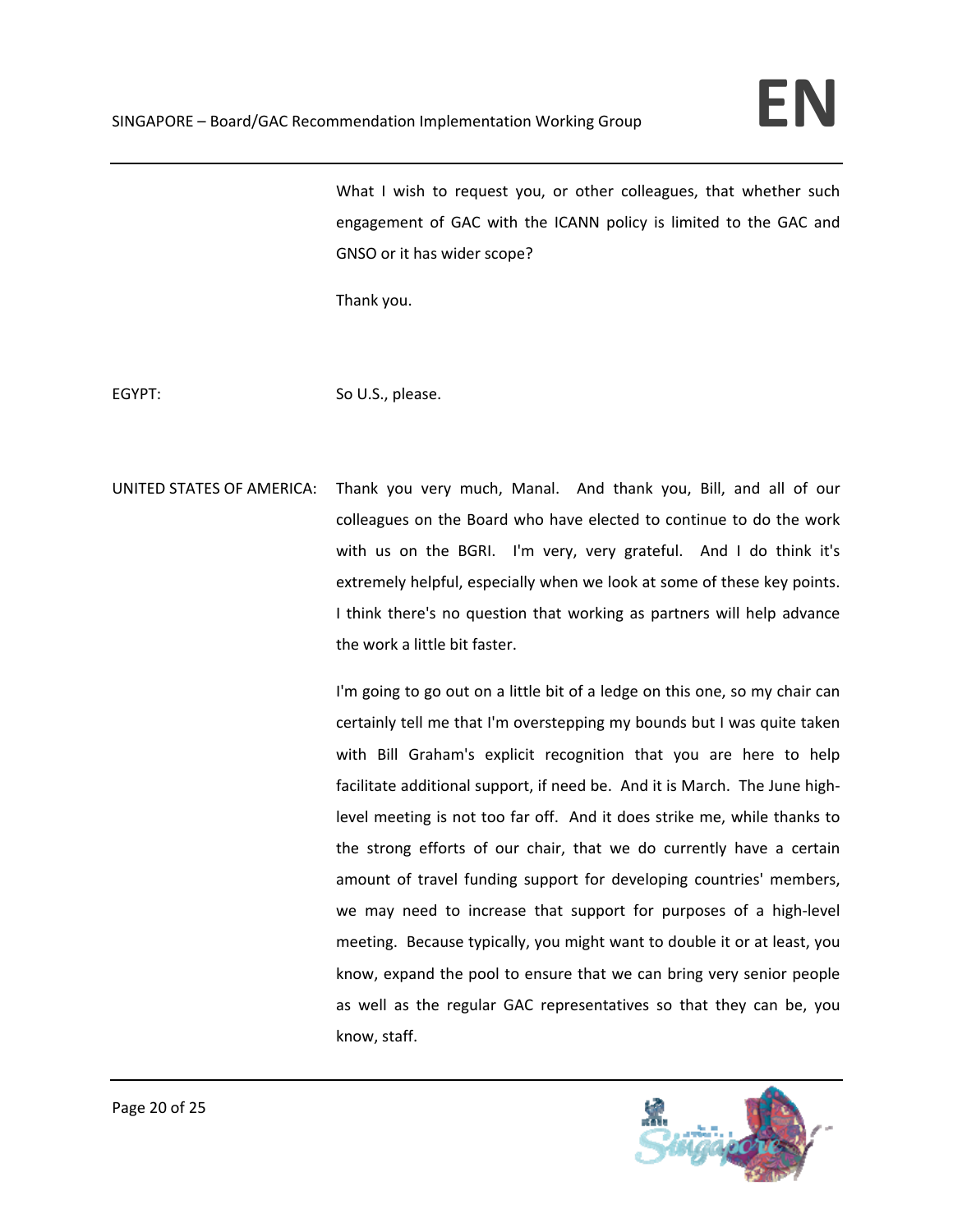What I wish to request you, or other colleagues, that whether such engagement of GAC with the ICANN policy is limited to the GAC and GNSO or it has wider scope?

Thank you.

EGYPT: So U.S., please.

UNITED STATES OF AMERICA: Thank you very much, Manal. And thank you, Bill, and all of our colleagues on the Board who have elected to continue to do the work with us on the BGRI. I'm very, very grateful. And I do think it's extremely helpful, especially when we look at some of these key points. I think there's no question that working as partners will help advance the work a little bit faster.

> I'm going to go out on a little bit of a ledge on this one, so my chair can certainly tell me that I'm overstepping my bounds but I was quite taken with Bill Graham's explicit recognition that you are here to help facilitate additional support, if need be. And it is March. The June high‐ level meeting is not too far off. And it does strike me, while thanks to the strong efforts of our chair, that we do currently have a certain amount of travel funding support for developing countries' members, we may need to increase that support for purposes of a high-level meeting. Because typically, you might want to double it or at least, you know, expand the pool to ensure that we can bring very senior people as well as the regular GAC representatives so that they can be, you know, staff.

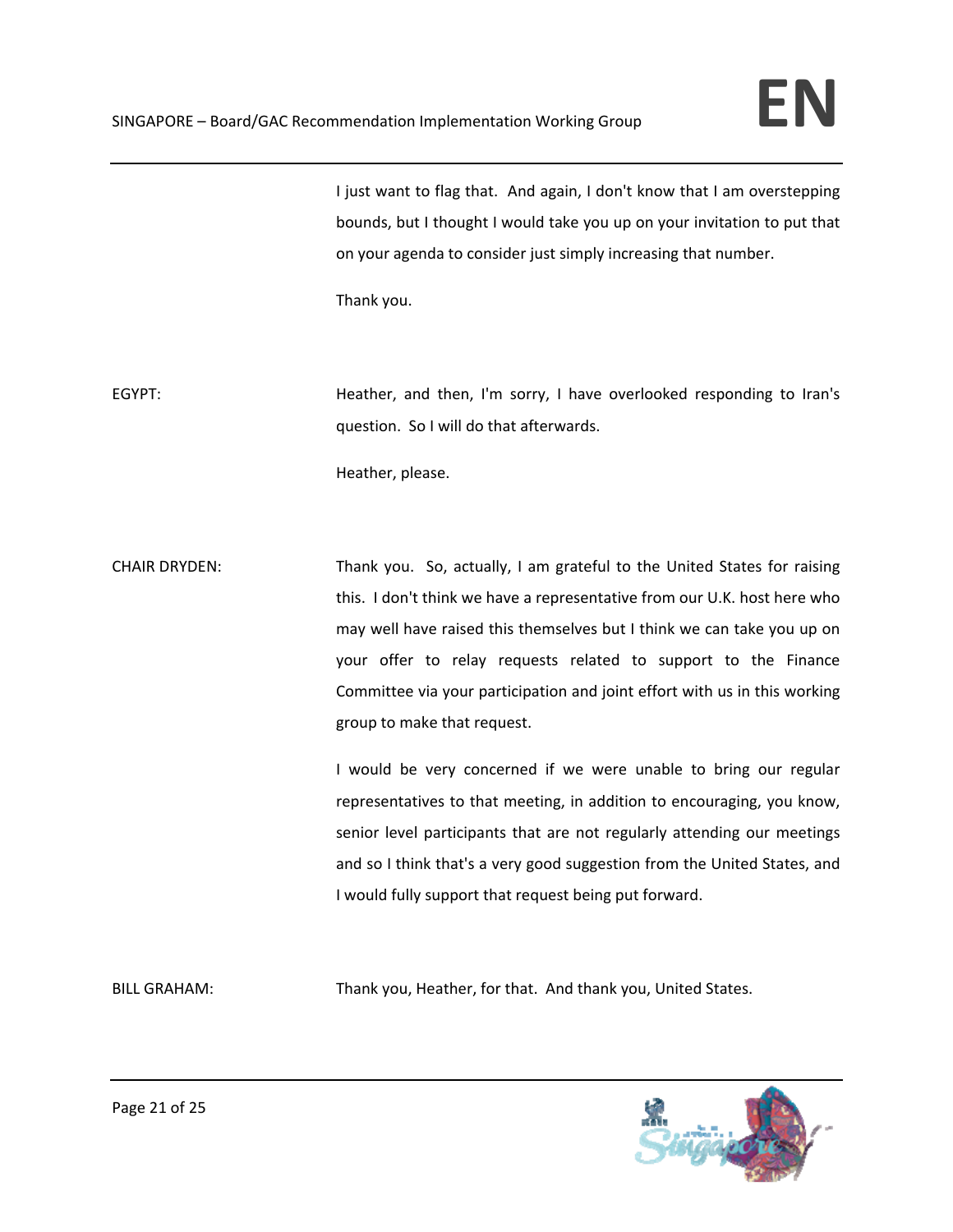I just want to flag that. And again, I don't know that I am overstepping bounds, but I thought I would take you up on your invitation to put that on your agenda to consider just simply increasing that number.

Thank you.

EGYPT: Heather, and then, I'm sorry, I have overlooked responding to Iran's question. So I will do that afterwards.

Heather, please.

CHAIR DRYDEN: Thank you. So, actually, I am grateful to the United States for raising this. I don't think we have a representative from our U.K. host here who may well have raised this themselves but I think we can take you up on your offer to relay requests related to support to the Finance Committee via your participation and joint effort with us in this working group to make that request.

> I would be very concerned if we were unable to bring our regular representatives to that meeting, in addition to encouraging, you know, senior level participants that are not regularly attending our meetings and so I think that's a very good suggestion from the United States, and I would fully support that request being put forward.

BILL GRAHAM: Thank you, Heather, for that. And thank you, United States.

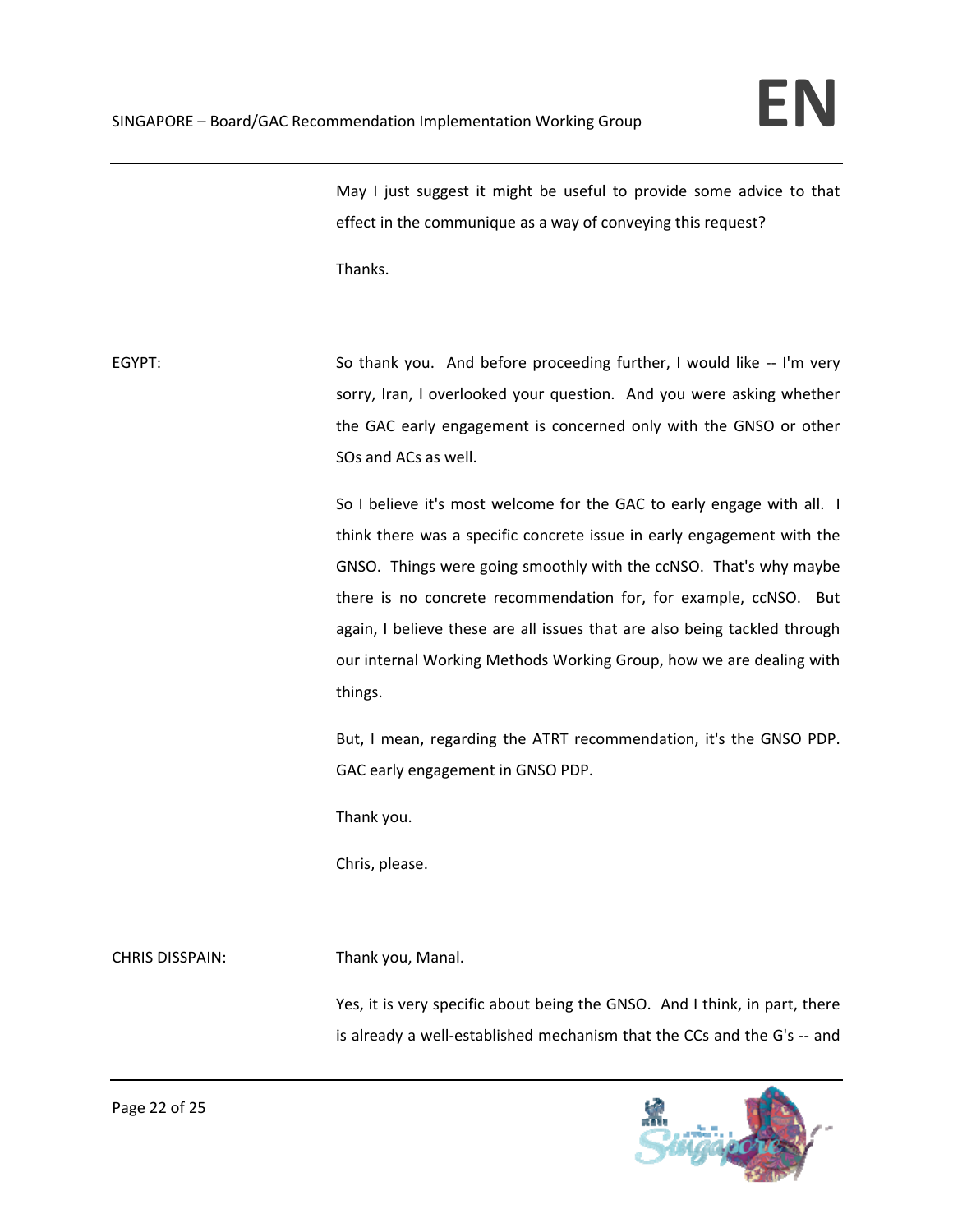May I just suggest it might be useful to provide some advice to that effect in the communique as a way of conveying this request?

Thanks.

EGYPT: So thank you. And before proceeding further, I would like -- I'm very sorry, Iran, I overlooked your question. And you were asking whether the GAC early engagement is concerned only with the GNSO or other SOs and ACs as well.

> So I believe it's most welcome for the GAC to early engage with all. I think there was a specific concrete issue in early engagement with the GNSO. Things were going smoothly with the ccNSO. That's why maybe there is no concrete recommendation for, for example, ccNSO. But again, I believe these are all issues that are also being tackled through our internal Working Methods Working Group, how we are dealing with things.

> But, I mean, regarding the ATRT recommendation, it's the GNSO PDP. GAC early engagement in GNSO PDP.

Thank you.

Chris, please.

CHRIS DISSPAIN: Thank you, Manal.

Yes, it is very specific about being the GNSO. And I think, in part, there is already a well‐established mechanism that the CCs and the G's ‐‐ and

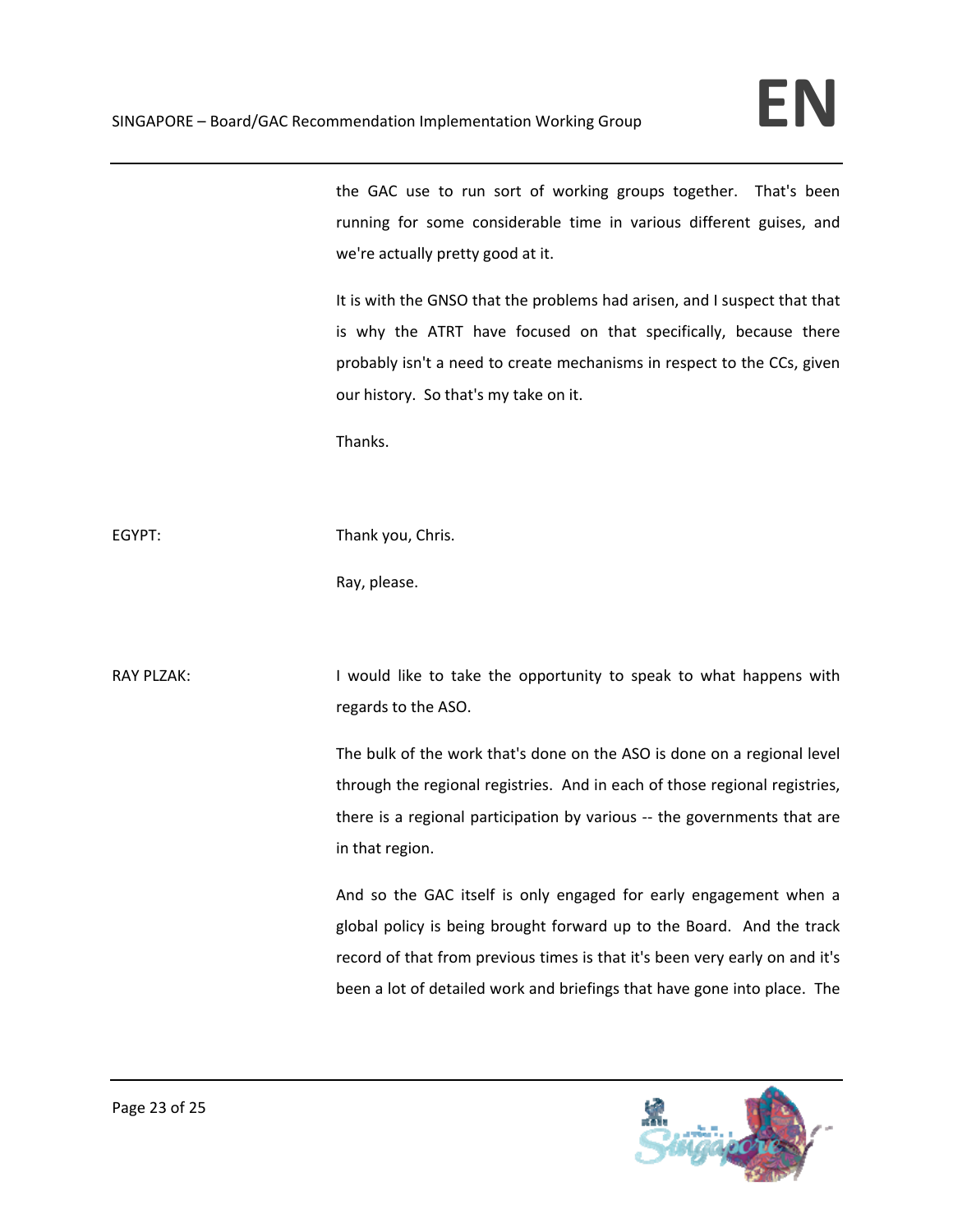the GAC use to run sort of working groups together. That's been running for some considerable time in various different guises, and we're actually pretty good at it.

It is with the GNSO that the problems had arisen, and I suspect that that is why the ATRT have focused on that specifically, because there probably isn't a need to create mechanisms in respect to the CCs, given our history. So that's my take on it.

Thanks.

EGYPT: Thank you, Chris.

Ray, please.

RAY PLZAK: I would like to take the opportunity to speak to what happens with regards to the ASO.

> The bulk of the work that's done on the ASO is done on a regional level through the regional registries. And in each of those regional registries, there is a regional participation by various ‐‐ the governments that are in that region.

> And so the GAC itself is only engaged for early engagement when a global policy is being brought forward up to the Board. And the track record of that from previous times is that it's been very early on and it's been a lot of detailed work and briefings that have gone into place. The

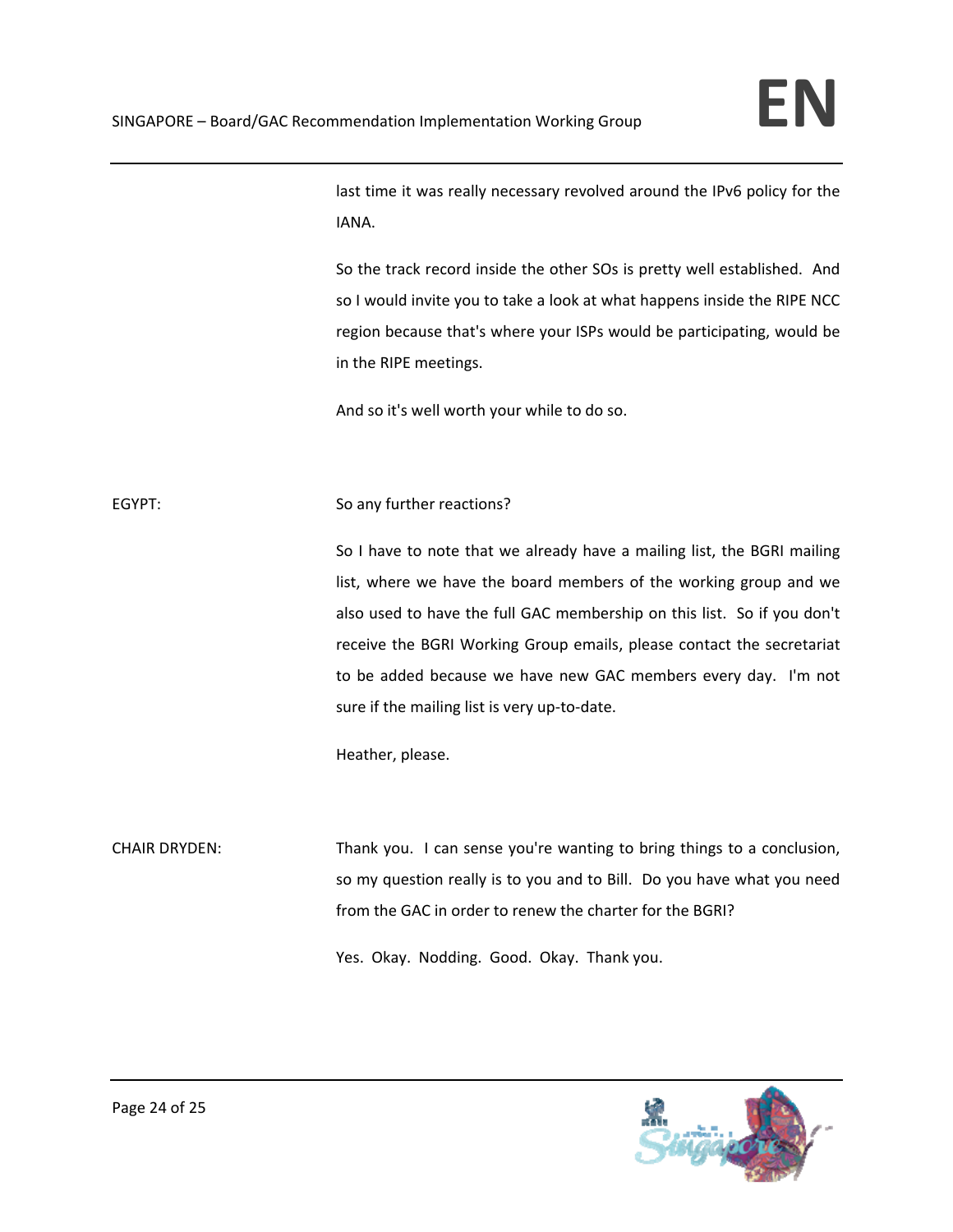last time it was really necessary revolved around the IPv6 policy for the IANA.

So the track record inside the other SOs is pretty well established. And so I would invite you to take a look at what happens inside the RIPE NCC region because that's where your ISPs would be participating, would be in the RIPE meetings.

And so it's well worth your while to do so.

## EGYPT: So any further reactions?

So I have to note that we already have a mailing list, the BGRI mailing list, where we have the board members of the working group and we also used to have the full GAC membership on this list. So if you don't receive the BGRI Working Group emails, please contact the secretariat to be added because we have new GAC members every day. I'm not sure if the mailing list is very up-to-date.

Heather, please.

CHAIR DRYDEN: Thank you. I can sense you're wanting to bring things to a conclusion, so my question really is to you and to Bill. Do you have what you need from the GAC in order to renew the charter for the BGRI?

Yes. Okay. Nodding. Good. Okay. Thank you.